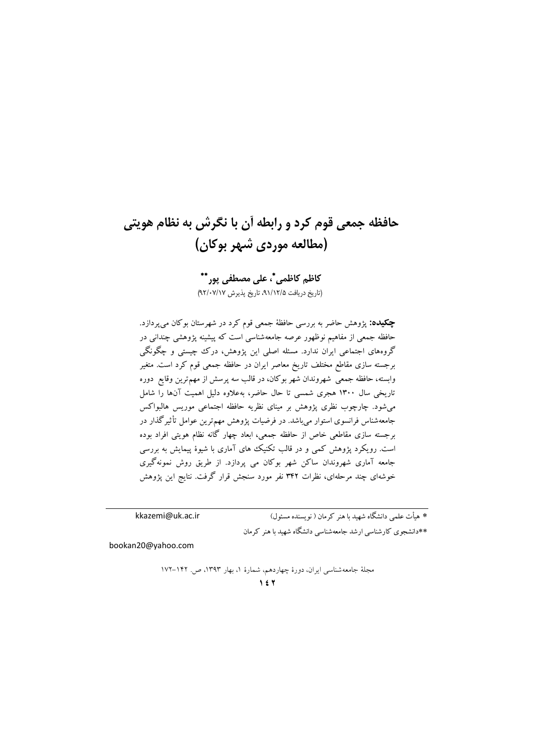# حافظه جمعي قوم كرد و رابطه أن با نگرش به نظام هويتي (مطالعه موردی شبهر بوکان)

كاظم كاظمى"، على مصطفى يور"\* (تاريخ دريافت ٩١/١٢/۵، تاريخ پذيرش ٩٢/٠٧/١٧)

**چکیده:** پژوهش حاضر به بررسی حافظهٔ جمعی قوم کرد در شهرستان بوکان می $\mu$ دازد. حافظه جمعی از مفاهیم نوظهور عرصه جامعهشناسی است که پیشینه پژوهشی چندانی در گروههای اجتماعی ایران ندارد. مسئله اصلی این پژوهش، درک چیستی و چگونگی برجسته سازی مقاطع مختلف تاریخ معاصر ایران در حافظه جمعی قوم کرد است. متغیر وابسته، حافظه جمعی شهروندان شهر بوکان، در قالب سه پرسش از مهم ترین وقایع دوره تاریخی سال ۱۳۰۰ هجری شمسی تا حال حاضر، بهعلاوه دلیل اهمیت آنها را شامل می شود. چارچوب نظری پژوهش بر مینای نظریه حافظه اجتماعی موریس هالبواکس جامعهشناس فرانسوی استوار می باشد. در فرضیات پژوهش مهمترین عوامل تأثیرگذار در برجسته سازی مقاطعی خاص از حافظه جمعی، ابعاد چهار گانه نظام هویتی افراد بوده است. رویکرد پژوهش کمی و در قالب تکنیک های آماری با شیوهٔ پیمایش به بررسی جامعه آماری شهروندان ساکن شهر بوکان می پردازد. از طریق روش نمونهگیری خوشهای چند مرحلهای، نظرات ۳۴۲ نفر مورد سنجش قرار گرفت. نتایج این پژوهش

kkazemi@uk.ac.ir

\* هبأت علمہ ِ دانشگاہ شھید یا هنر کہ مان ( نو بسندہ مسئول) \*\*دانشجوی کارشناسی ارشد جامعهشناسی دانشگاه شهید با هنر کرمان

bookan20@yahoo.com

مجلهٔ جامعهشناسی ایران، دورهٔ چهاردهم، شمارهٔ ۱، بهار ۱۳۹۳، ص. ۱۴۲–۱۷۲  $157$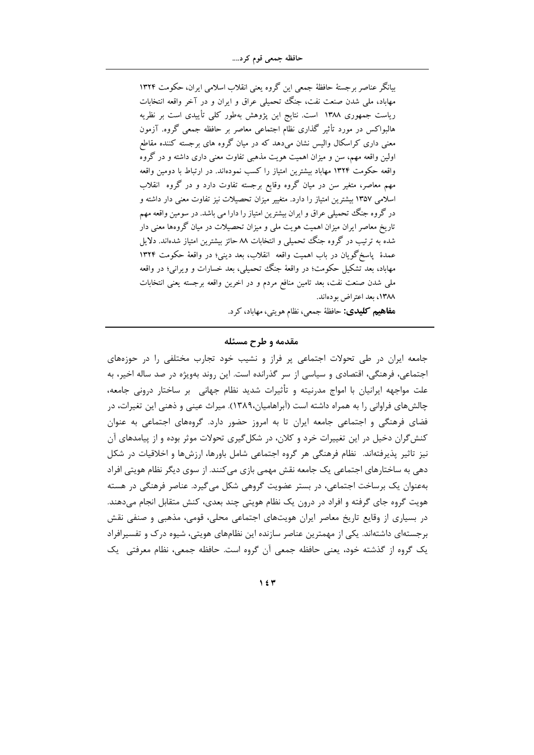بیانگر عناصر برجستهٔ حافظهٔ جمعی این گروه یعنی انقلاب اسلامی ایران، حکومت ۱۳۲۴ مهاباد، ملَّى شدن صنعت نفت، جنگ تحمیلی عراق و ایران و در آخر واقعه انتخابات ریاست جمهوری ۱۳۸۸ است. نتایج این پژوهش بهطور کلی تأییدی است بر نظریه هالبواکس در مورد تأثیر گذاری نظام اجتماعی معاصر بر حافظه جمعی گروه. آزمون معنی داری کراسکال والیس نشان میدهد که در میان گروه های برجسته کننده مقاطع اولین واقعه مهم، سن و میزان اهمیت هویت مذهبی تفاوت معنی داری داشته و در گروه واقعه حکومت ۱۳۲۴ مهاباد بیشترین امتیاز را کسب نمودهاند. در ارتباط با دومین واقعه مهم معاصر، متغیر سن در میان گروه وقایع برجسته تفاوت دارد و در گروه انقلاب اسلامی ۱۳۵۷ بیشترین امتیاز را دارد. متغییر میزان تحصیلات نیز تفاوت معنی دار داشته و در گروه جنگ تحمیلی عراق و ایران بیشترین امتیاز را دارا می باشد. در سومین واقعه مهم تاریخ معاصر ایران میزان اهمیت هویت ملی و میزان تحصیلات در میان گروهها معنی دار شده به ترتیب در گروه جنگ تحمیلی و انتخابات ۸۸ حائز بیشترین امتیاز شدهاند. دلایل عمدهٔ پاسخگویان در باب اهمیت واقعه انقلاب، بعد دینی؛ در واقعهٔ حکومت ۱۳۲۴ مهاباد، بعد تشکیل حکومت؛ در واقعهٔ جنگ تحمیلی، بعد خسارات و ویرانبی؛ در واقعه ملی شدن صنعت نفت، بعد تامین منافع مردم و در اخرین واقعه برجسته یعنی انتخابات ١٣٨٨، بعد اعتراض بودهاند.

ه**فاهيم کليدي:** حافظهٔ جمعي، نظام هويتي، مهاباد، کرد.

#### مقدمه و طرح مسئله

جامعه ایران در طی تحولات اجتماعی پر فراز و نشیب خود تجارب مختلفی را در حوزههای اجتماعی، فرهنگی، اقتصادی و سیاسی از سر گذرانده است. این روند بهویژه در صد ساله اخیر، به علت مواجهه ایرانیان با امواج مدرنیته و تأثیرات شدید نظام جهانی بر ساختار درونی جامعه، چالشهای فراوانی را به همراه داشته است (آبراهامیان،۱۳۸۹). میراث عینی و ذهنی این تغیرات، در فضای فرهنگی و اجتماعی جامعه ایران تا به امروز حضور دارد. گروههای اجتماعی به عنوان کنش گران دخیل در این تغییرات خرد و کلان، در شکل گیری تحولات موثر بوده و از پیامدهای آن نیز تاثیر پذیرفتهاند. نظام فرهنگی هر گروه اجتماعی شامل باورها، ارزشها و اخلاقیات در شکل دهی به ساختارهای اجتماعی یک جامعه نقش مهمی بازی می کنند. از سوی دیگر نظام هویتی افراد بهعنوان یک برساخت اجتماعی، در بستر عضویت گروهی شکل میگیرد. عناصر فرهنگی در هسته هویت گروه جای گرفته و افراد در درون یک نظام هویتی چند بعدی، کنش متقابل انجام میدهند. در بسیاری از وقایع تاریخ معاصر ایران هویتهای اجتماعی محلی، قومی، مذهبی و صنفی نقش برجستهای داشتهاند. یکی از مهمترین عناصر سازنده این نظامهای هویتی، شیوه درک و تفسیرافراد یک گروه از گذشته خود، یعنی حافظه جمعی آن گروه است. حافظه جمعی، نظام معرفتی یک

 $\gamma$  { $\tau$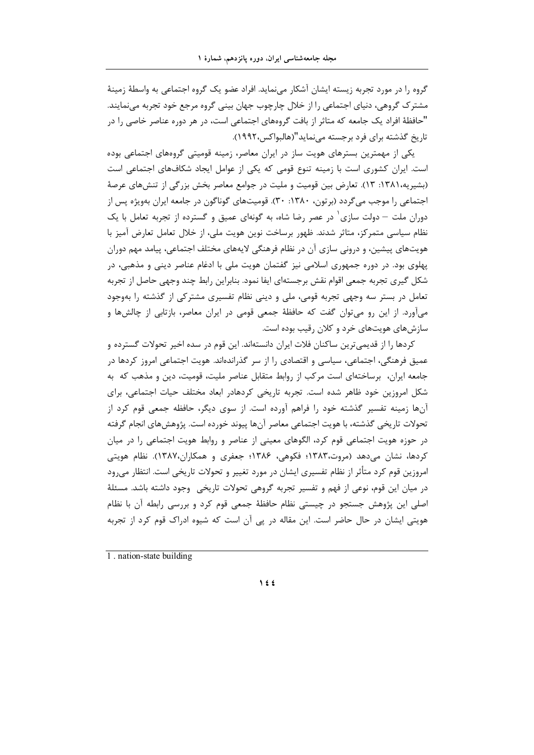گروه را در مورد تجربه زیسته ایشان آشکار می;نماید. افراد عضو یک گروه اجتماعی به واسطهٔ زمینهٔ مشترک گروهی، دنیای اجتماعی را از خلال چارچوب جهان بینی گروه مرجع خود تجربه می نمایند. "حافظهٔ افراد یک جامعه که متاثر از بافت گروههای اجتماعی است، در هر دوره عناصر خاصی را در تاریخ گذشته برای فرد برجسته می نماید"(هالبواکس،۱۹۹۲).

یکی از مهمترین بسترهای هویت ساز در ایران معاصر، زمینه قومیتی گروههای اجتماعی بوده است. ایران کشوری است با زمینه تنوع قومی که یکی از عوامل ایجاد شکافهای اجتماعی است (بشیریه،۱۳۸۱: ۱۳). تعارض بین قومیت و ملیت در جوامع معاصر بخش بزرگی از تنشهای عرصهٔ اجتماعی را موجب می گردد (بر تون، ۱۳۸۰: ۳۰). قومیتهای گوناگون در جامعه ایران بهویژه پس از دوران ملت – دولت سازی ٔ در عصر رضا شاه، به گونهای عمیق و گسترده از تجربه تعامل با یک نظام سیاسی متمرکز، متاثر شدند. ظهور برساخت نوین هویت ملی، از خلال تعامل تعارض آمیز با هویتهای پیشین، و درونی سازی آن در نظام فرهنگی لایههای مختلف اجتماعی، پیامد مهم دوران پهلوی بود. در دوره جمهوری اسلامی نیز گفتمان هویت ملی با ادغام عناصر دینی و مذهبی، در شکل گیری تجربه جمعی اقوام نقش برجستهای ایفا نمود. بنابراین رابط چند وجهی حاصل از تجربه تعامل در بستر سه وجهی تجربه قومی، ملی و دینی نظام تفسیری مشترکی از گذشته را بهوجود میآورد. از این رو میتوان گفت که حافظهٔ جمعی قومی در ایران معاصر، بازتابی از چالشها و سازش های هویتهای خرد و کلان رقیب بوده است.

کردها را از قدیمیترین ساکنان فلات ایران دانستهاند. این قوم در سده اخیر تحولات گسترده و عمیق فرهنگی، اجتماعی، سیاسی و اقتصادی را از سر گذراندهاند. هویت اجتماعی امروز کردها در جامعه ایران، برساختهای است مرکب از روابط متقابل عناصر ملیت، قومیت، دین و مذهب که به شکل امروزین خود ظاهر شده است. تجربه تاریخی کردهادر ابعاد مختلف حیات اجتماعی، برای آنها زمینه تفسیر گذشته خود را فراهم آورده است. از سوی دیگر، حافظه جمعی قوم کرد از تحولات تاریخی گذشته، با هویت اجتماعی معاصر آنها پیوند خورده است. پژوهش های انجام گرفته در حوزه هویت اجتماعی قوم کرد، الگوهای معینی از عناصر و روابط هویت اجتماعی را در میان کردها، نشان میدهد (مروت،۱۳۸۳؛ فکوهی، ۱۳۸۶؛ جعفری و همکاران،۱۳۸۷). نظام هویتی امروزین قوم کرد متأثر از نظام تفسیری ایشان در مورد تغییر و تحولات تاریخی است. انتظار می ود در میان این قوم، نوعی از فهم و تفسیر تجربه گروهی تحولات تاریخی وجود داشته باشد. مسئلهٔ اصلی این پژوهش جستجو در چیستی نظام حافظهٔ جمعی قوم کرد و بررسی رابطه آن با نظام هویتی ایشان در حال حاضر است. این مقاله در پی آن است که شیوه ادراک قوم کرد از تجربه

 $\bigwedge$  { {

<sup>1</sup> nation-state building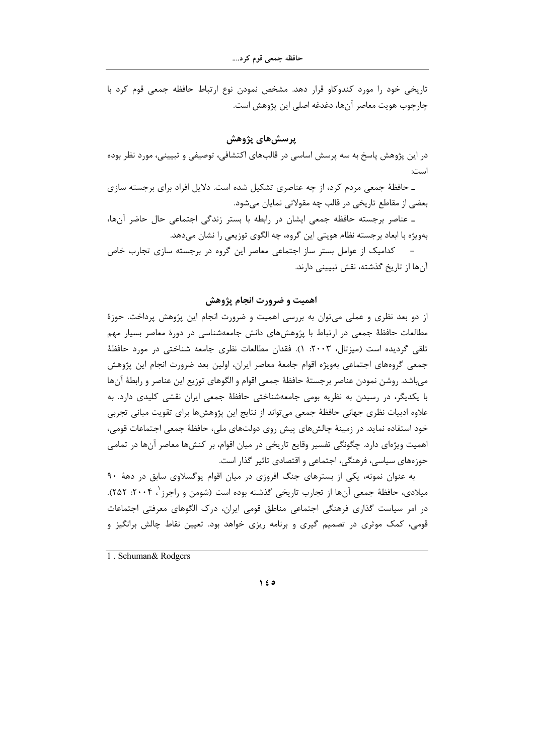تاریخی خود را مورد کندوکاو قرار دهد. مشخص نمودن نوع ارتباط حافظه جمعی قوم کرد با چارچوب هويت معاصر آنها، دغدغه اصلي اين پژوهش است.

# پرسشهای پژوهش

در این پژوهش پاسخ به سه پرسش اساسی در قالبهای اکتشافی، توصیفی و تبیینی، مورد نظر بوده است:

ـ حافظهٔ جمعی مردم کرد، از چه عناصری تشکیل شده است. دلایل افراد برای برجسته سازی بعضی از مقاطع تاریخی در قالب چه مقولاتی نمایان می شود.

۔ عناصر برجسته حافظه جمعی ایشان در رابطه با بستر زندگی اجتماعی حال حاضر آنها، بهویژه با ابعاد برجسته نظام هویتی این گروه، چه الگوی توزیعی را نشان میدهد.

– کدامیک از عوامل بستر ساز اجتماعی معاصر این گروه در برجسته سازی تجارب خاص آنها از تاریخ گذشته، نقش تبیینی دارند.

## اهميت و ضرورت انجام پژوهش

از دو بعد نظری و عملی میتوان به بررسی اهمیت و ضرورت انجام این پژوهش پرداخت. حوزهٔ مطالعات حافظهٔ جمعی در ارتباط با پژوهشهای دانش جامعهشناسی در دورهٔ معاصر بسیار مهم تلقى گرديده است (ميزتال، ٢٠٠٣: ١). فقدان مطالعات نظرى جامعه شناختى در مورد حافظهٔ جمعی گروههای اجتماعی بهویژه اقوام جامعهٔ معاصر ایران، اولین بعد ضرورت انجام این پژوهش مىباشد. روشن نمودن عناصر برجستهٔ حافظهٔ جمعى اقوام و الگوهاى توزيع اين عناصر و رابطهٔ آنها با یکدیگر، در رسیدن به نظریه بومی جامعهشناختی حافظهٔ جمعی ایران نقشی کلیدی دارد. به علاوه ادبیات نظری جهانی حافظهٔ جمعی می¤واند از نتایج این پژوهشها برای تقویت مبانی تجربی خود استفاده نماید. در زمینهٔ چالشهای پیش روی دولتهای ملی، حافظهٔ جمعی اجتماعات قومی، اهمیت ویژهای دارد. چگونگی تفسیر وقایع تاریخی در میان اقوام، بر کنشها معاصر آنها در تمامی حوزههای سیاسی، فرهنگی، اجتماعی و اقتصادی تاثیر گذار است.

به عنوان نمونه، یکی از بسترهای جنگ افروزی در میان اقوام پوگسلاوی سابق در دههٔ ۹۰ میلادی، حافظهٔ جمعی آنها از تجارب تاریخی گذشته بوده است (شومن و راجرز '، ۲۰۰۴: ۲۵۲). در امر سیاست گذاری فرهنگی اجتماعی مناطق قومی ایران، درک الگوهای معرفتی اجتماعات قومی، کمک موثری در تصمیم گیری و برنامه ریزی خواهد بود. تعیین نقاط چالش برانگیز و

1. Schuman & Rodgers

 $\lambda$   $\epsilon$  0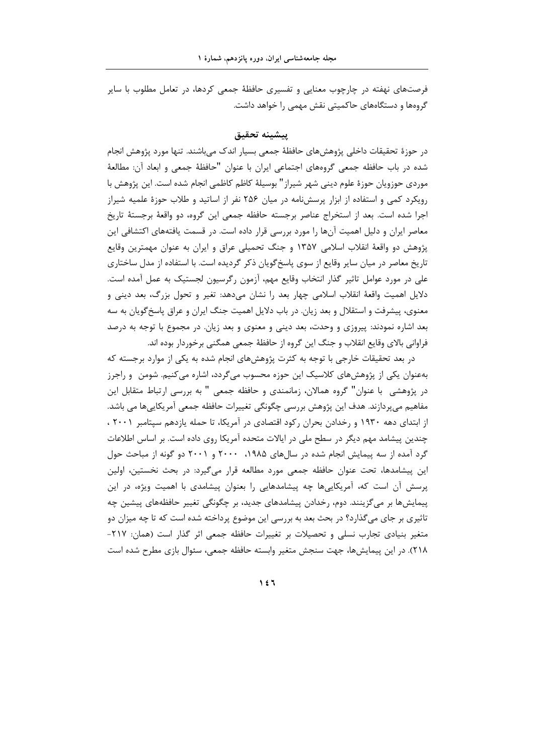فرصتهای نهفته در چارچوب معنایی و تفسیری حافظهٔ جمعی کردها، در تعامل مطلوب با سایر گروهها و دستگاههای حاکمیتی نقش مهمی را خواهد داشت.

## ينشننه تحقيق

در حوزهٔ تحقیقات داخلی پژوهشهای حافظهٔ جمعی بسیار اندک میباشند. تنها مورد پژوهش انجام شده در باب حافظه جمعی گروههای اجتماعی ایران با عنوان "حافظهٔ جمعی و ابعاد آن: مطالعهٔ موردی حوزویان حوزهٔ علوم دینی شهر شیراز" بوسیلهٔ کاظم کاظمی انجام شده است. این پژوهش با رویکرد کمی و استفاده از ابزار پرسشنامه در میان ۲۵۶ نفر از اساتید و طلاب حوزهٔ علمیه شیراز اجرا شده است. بعد از استخراج عناصر برجسته حافظه جمعی این گروه، دو واقعهٔ برجستهٔ تاریخ معاصر ایران و دلیل اهمیت آنها را مورد بررسی قرار داده است. در قسمت یافتههای اکتشافی این پژوهش دو واقعهٔ انقلاب اسلامی ۱۳۵۷ و جنگ تحمیلی عراق و ایران به عنوان مهمترین وقایع تاریخ معاصر در میان سایر وقایع از سوی پاسخگویان ذکر گردیده است. با استفاده از مدل ساختاری علی در مورد عوامل تاثیر گذار انتخاب وقایع مهم، آزمون رگرسیون لجستیک به عمل آمده است. دلایل اهمیت واقعهٔ انقلاب اسلامی چهار بعد را نشان میدهد: تغیر و تحول بزرگ، بعد دینی و معنوی، پیشرفت و استقلال و بعد زیان. در باب دلایل اهمیت جنگ ایران و عراق پاسخ گویان به سه بعد اشاره نمودند: پیروزی و وحدت، بعد دینی و معنوی و بعد زیان. در مجموع با توجه به درصد فراواني بالاي وقايع انقلاب و جنگ اين گروه از حافظهٔ جمعي همگني برخوردار بوده اند.

در بعد تحقیقات خارجی با توجه به کثرت پژوهش۵مای انجام شده به یکی از موارد برجسته که بهعنوان یکی از پژوهشهای کلاسیک این حوزه محسوب میگردد، اشاره میکنیم. شومن ۖ و راجرز در پژوهشی با عنوان" گروه همالان، زمانمندی و حافظه جمعی " به بررسی ارتباط متقابل این مفاهیم میپردازند. هدف این پژوهش بررسی چگونگی تغییرات حافظه جمعی آمریکاییها می باشد. از ابتدای دهه ۱۹۳۰ و رخدادن بحران رکود اقتصادی در آمریکا، تا حمله یازدهم سپتامبر ۲۰۰۱ ، چندین پیشامد مهم دیگر در سطح ملی در ایالات متحده آمریکا روی داده است. بر اساس اطلاعات گرد آمده از سه پیمایش انجام شده در سالهای ۱۹۸۵، ۲۰۰۰ و ۲۰۰۱ دو گونه از مباحث حول این پیشامدها، تحت عنوان حافظه جمعی مورد مطالعه قرار می گیرد: در بحث نخستین، اولین پرسش آن است که، آمریکاییها چه پیشامدهایی را بعنوان پیشامدی با اهمیت ویژه، در این پیمایشها بر میگزینند. دوم، رخدادن پیشامدهای جدید، بر چگونگی تغییر حافظههای پیشین چه تاثیری بر جای میگذارد؟ در بحث بعد به بررسی این موضوع پرداخته شده است که تا چه میزان دو متغیر بنیادی تجارب نسلی و تحصیلات بر تغییرات حافظه جمعی اثر گذار است (همان: ۲۱۷-٢١٨). در اين پيمايشها، جهت سنجش متغير وابسته حافظه جمعي، سئوال بازي مطرح شده است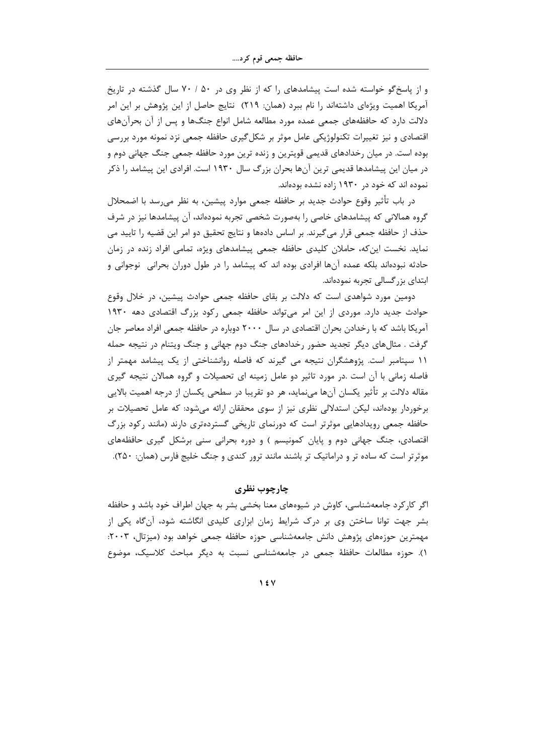و از پاسخگو خواسته شده است پیشامدهای را که از نظر وی در ۵۰ / ۷۰ سال گذشته در تاریخ آمریکا اهمیت ویژهای داشتهاند را نام ببرد (همان: ۲۱۹) نتایج حاصل از این پژوهش بر این امر دلالت دارد که حافظههای جمعی عمده مورد مطالعه شامل انواع جنگها و پس از آن بحرآنهای اقتصادی و نیز تغییرات تکنولوژیکی عامل موثر بر شکل گیری حافظه جمعی نزد نمونه مورد بررسی بوده است. در میان رخدادهای قدیمی قویترین و زنده ترین مورد حافظه جمعی جنگ جهانی دوم و در میان این پیشامدها قدیمی ترین آنها بحران بزرگ سال ۱۹۳۰ است. افرادی این پیشامد را ذکر نموده اند که خود در ۱۹۳۰ زاده نشده بودهاند.

در باب تأثیر وقوع حوادث جدید بر حافظه جمعی موارد پیشین، به نظر می٫رسد با اضمحلال گروه همالانی که پیشامدهای خاصی را بهصورت شخصی تجربه نمودهاند، آن پیشامدها نیز در شرف حذف از حافظه جمعی قرار می گیرند. بر اساس دادهها و نتایج تحقیق دو امر این قضیه را تایید می نماید. نخست این که، حاملان کلیدی حافظه جمعی پیشامدهای ویژه، تمامی افراد زنده در زمان حادثه نبودهاند بلکه عمده آنها افرادی بوده اند که پیشامد را در طول دوران بحرانی ِ نوجوانی و ابتدای بزر گسالی تجربه نمودهاند.

دومین مورد شواهدی است که دلالت بر بقای حافظه جمعی حوادث پیشین، در خلال وقوع حوادث جدید دارد. موردی از این امر میتواند حافظه جمعی رکود بزرگ اقتصادی دهه ۱۹۳۰ آمریکا باشد که با رخدادن بحران اقتصادی در سال ۲۰۰۰ دوباره در حافظه جمعی افراد معاصر جان گرفت . مثالهای دیگر تجدید حضور رخدادهای جنگ دوم جهانی و جنگ ویتنام در نتیجه حمله ۱۱ سپتامبر است. پژوهشگران نتیجه می گیرند که فاصله روانشناختی از یک پیشامد مهمتر از فاصله زمانی با آن است .در مورد تاثیر دو عامل زمینه ای تحصیلات و گروه همالان نتیجه گیری مقاله دلالت بر تأثير يكسان آنها مىنمايد، هر دو تقريبا در سطحي يكسان از درجه اهميت بالايي برخوردار بودهاند، لیکن استدلالی نظری نیز از سوی محققان ارائه میشود: که عامل تحصیلات بر حافظه جمعی رویدادهایی موثرتر است که دورنمای تاریخی گستردهتری دارند (مانند رکود بزرگ اقتصادی، جنگ جهانی دوم و پایان کمونیسم ) و دوره بحرانی سنی برشکل گیری حافظههای موثرتر است که ساده تر و دراماتیک تر باشند مانند ترور کندی و جنگ خلیج فارس (همان: ۲۵۰).

## چارچوب نظری

اگر کارکرد جامعهشناسی، کاوش در شیوههای معنا بخشی بشر به جهان اطراف خود باشد و حافظه بشر جهت توانا ساختن وی بر درک شرایط زمان ابزاری کلیدی انگاشته شود، آنگاه یکی از مهمترین حوزههای پژوهش دانش جامعهشناسی حوزه حافظه جمعی خواهد بود (میزتال، ۲۰۰۳: ۱). حوزه مطالعات حافظهٔ جمعی در جامعهشناسی نسبت به دیگر مباحث کلاسیک، موضوع

 $\gamma$  {  $\gamma$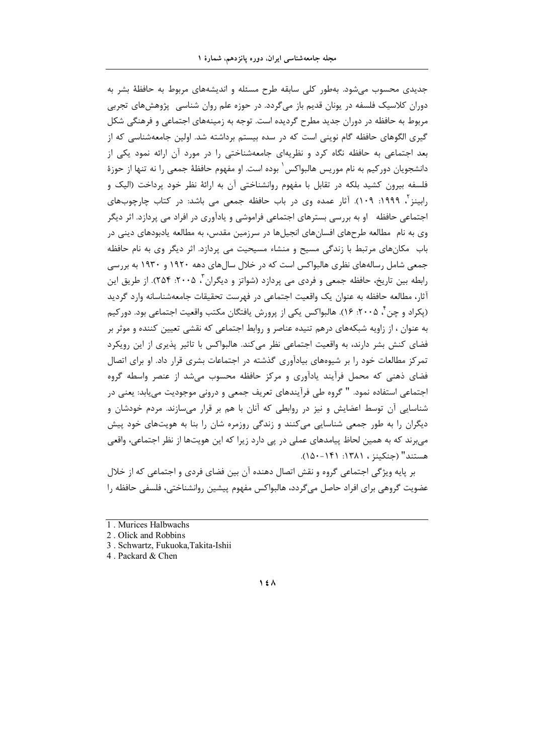جدیدی محسوب می شود. بهطور کلی سابقه طرح مسئله و اندیشههای مربوط به حافظهٔ بشر به دوران کلاسیک فلسفه در یونان قدیم باز می گردد. در حوزه علم روان شناسی پژوهشهای تجربی مربوط به حافظه در دوران جدید مطرح گردیده است. توجه به زمینههای اجتماعی و فرهنگی شکل گیری الگوهای حافظه گام نوینی است که در سده بیستم برداشته شد. اولین جامعهشناسی که از بعد اجتماعی به حافظه نگاه کرد و نظریهای جامعهشناختی را در مورد آن ارائه نمود یکی از دانشجویان دورکیم به نام موریس هالبواکس ٰ بوده است. او مفهوم حافظهٔ جمعی را نه تنها از حوزهٔ فلسفه بیرون کشید بلکه در تقابل با مفهوم روانشناختی آن به ارائهٔ نظر خود پرداخت (الیک و رابینز <sup>۲</sup>، ۱۹۹۹: ۱۰۹). آثار عمده وی در باب حافظه جمعی می باشد: در کتاب چارچوبهای اجتماعی حافظه او به بررسی بسترهای اجتماعی فراموشی و یادآوری در افراد می پردازد. اثر دیگر وی به نام ً مطالعه طرحهای افسانهای انجیلها در سرزمین مقدس، به مطالعه پادبودهای دینی در باب ً مکانهای مرتبط با زندگی مسیح و منشاء مسیحیت می پردازد. اثر دیگر وی به نام حافظه جمعی شامل رسالههای نظری هالبواکس است که در خلال سالهای دهه ۱۹۲۰ و ۱۹۳۰ به بررسی رابطه بين تاريخ، حافظه جمعي و فردي مي يردازد (شواتز و ديگران "، ۲۰۰۵: ۲۵۴). از طريق اين آثار، مطالعه حافظه به عنوان یک واقعیت اجتماعی در فهرست تحقیقات جامعهشناسانه وارد گردید (پکراد و چن ٔ ۲۰۰۵: ۱۶). هالبواکس یکی از پرورش یافتگان مکتب واقعیت اجتماعی بود. دور کیم به عنوان ، از زاویه شبکههای درهم تنیده عناصر و روابط اجتماعی که نقشی تعیین کننده و موثر بر فضای کنش بشر دارند، به واقعیت اجتماعی نظر میکند. هالبواکس با تاثیر پذیری از این رویکرد تمرکز مطالعات خود را بر شیوههای بیادآوری گذشته در اجتماعات بشری قرار داد. او برای اتصال فضای ذهنی که محمل فرأیند یادآوری و مرکز حافظه محسوب میشد از عنصر واسطه گروه اجتماعے استفادہ نمود. " گروہ طے فرآیندھای تعریف جمعی و درونی موجودیت می یابد: یعنی در شناسایی آن توسط اعضایش و نیز در روابطی که آنان با هم بر قرار میسازند. مردم خودشان و دیگران را به طور جمعی شناسایی می کنند و زندگی روزمره شان را بنا به هویتهای خود پیش می,برند که به همین لحاظ پیامدهای عملی در یی دارد زیرا که این هویتها از نظر اجتماعی، واقعی هستند" (جنكينز ، ١٣٨١: ١٤١١-١۵٠).

بر پایه ویژگی اجتماعی گروه و نقش اتصال دهنده آن بین فضای فردی و اجتماعی که از خلال عضويت گروهي براي افراد حاصل ميگردد، هالبواكس مفهوم پيشين روانشناختي، فلسفي حافظه را

3. Schwartz, Fukuoka, Takita-Ishii

4. Packard & Chen

<sup>1.</sup> Murices Halbwachs

<sup>2.</sup> Olick and Robbins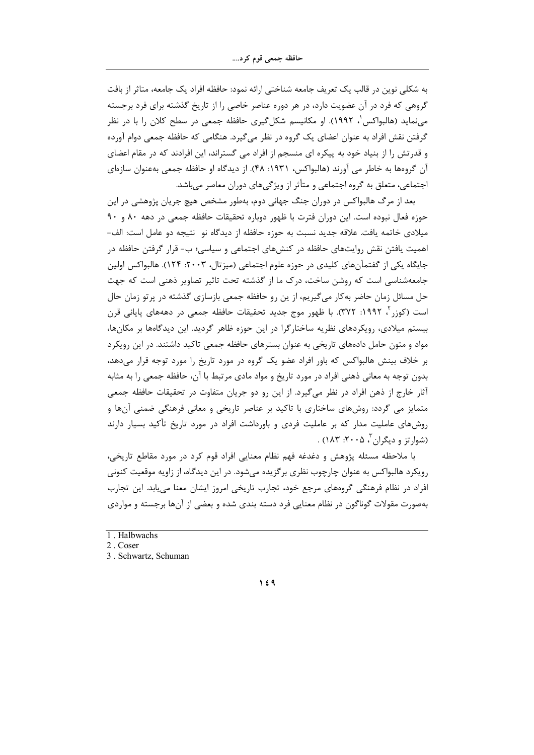به شکلی نوین در قالب یک تعریف جامعه شناختی ارائه نمود: حافظه افراد یک جامعه، متاثر از بافت گروهی که فرد در آن عضویت دارد، در هر دوره عناصر خاصی را از تاریخ گذشته برای فرد برجسته می نماید (هالبواکس ، ۱۹۹۲). او مکانیسم شکل گیری حافظه جمعی در سطح کلان را با در نظر گرفتن نقش افراد به عنوان اعضای یک گروه در نظر می گیرد. هنگامی که حافظه جمعی دوام آورده و قدرتش را از بنیاد خود به پیکره ای منسجم از افراد می گستراند، این افرادند که در مقام اعضای آن گروهها به خاطر می آورند (هالبواکس، ۱۹۳۱: ۴۸). از دیدگاه او حافظه جمعی بهعنوان سازهای اجتماعی، متعلق به گروه اجتماعی و متأثر از ویژگی های دوران معاصر می باشد.

بعد از مرگ هالبواکس در دوران جنگ جهانی دوم، بهطور مشخص هیچ جریان پژوهشی در این حوزه فعال نبوده است. این دوران فترت با ظهور دوباره تحقیقات حافظه جمعی در دهه ٨٠ و ٩٠ میلادی خاتمه یافت. علاقه جدید نسبت به حوزه حافظه از دیدگاه نو نتیجه دو عامل است: الف-اهمیت یافتن نقش روایتهای حافظه در کنشهای اجتماعی و سیاسی؛ ب- قرار گرفتن حافظه در جایگاه یکی از گفتمآنهای کلیدی در حوزه علوم اجتماعی (میزتال، ۲۰۰۳: ۱۲۴). هالبواکس اولین جامعهشناسی است که روشن ساخت، درک ما از گذشته تحت تاثیر تصاویر ذهنی است که جهت حل مسائل زمان حاضر به کار می گیریم، از ین رو حافظه جمعی بازسازی گذشته در پرتو زمان حال است (کوزر آ، ۱۹۹۲: ۳۷۲). با ظهور موج جدید تحقیقات حافظه جمعی در دهههای پایانی قرن بیستم میلادی، رویکردهای نظریه ساختارگرا در این حوزه ظاهر گردید. این دیدگاهها بر مکانها، مواد و متون حامل دادههای تاریخی به عنوان بسترهای حافظه جمعی تاکید داشتند. در این رویکرد بر خلاف بینش هالبواکس که باور افراد عضو یک گروه در مورد تاریخ را مورد توجه قرار میدهد، بدون توجه به معانی ذهنی افراد در مورد تاریخ و مواد مادی مرتبط با آن، حافظه جمعی را به مثابه آثار خارج از ذهن افراد در نظر میگیرد. از این رو دو جریان متفاوت در تحقیقات حافظه جمعی متمایز می گردد: روشهای ساختاری با تاکید بر عناصر تاریخی و معانی فرهنگی ضمنی آنها و روشهای عاملیت مدار که بر عاملیت فردی و باورداشت افراد در مورد تاریخ تأکید بسیار دارند (شوارتز و دیگران ، ۲۰۰۵: ۱۸۳) .

با ملاحظه مسئله پژوهش و دغدغه فهم نظام معنایی افراد قوم کرد در مورد مقاطع تاریخی، رویکرد هالبواکس به عنوان چارچوب نظری برگزیده میشود. در این دیدگاه، از زاویه موقعیت کنونی افراد در نظام فرهنگی گروههای مرجع خود، تجارب تاریخی امروز ایشان معنا می یابد. این تجارب بهصورت مقولات گوناگون در نظام معنایی فرد دسته بندی شده و بعضی از آنها برجسته و مواردی

<sup>1.</sup> Halbwachs

<sup>2.</sup> Coser

<sup>3.</sup> Schwartz, Schuman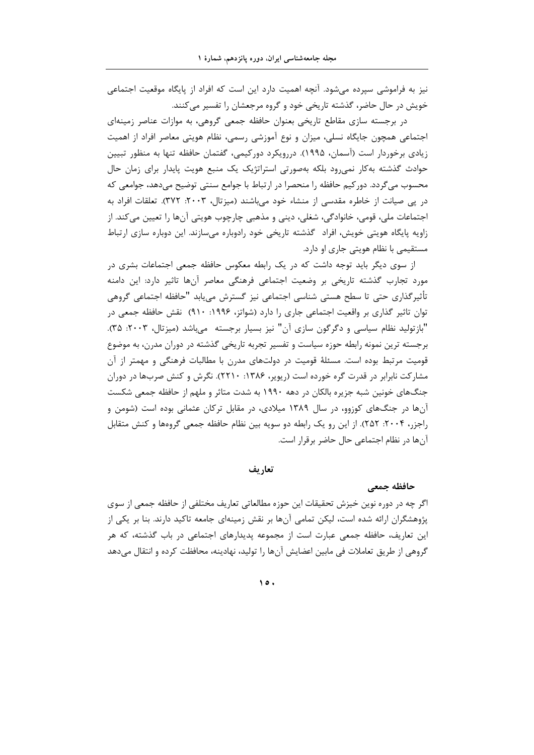نیز به فراموشی سپرده میشود. آنچه اهمیت دارد این است که افراد از پایگاه موقعیت اجتماعی خویش در حال حاضر، گذشته تاریخی خود و گروه مرجعشان را تفسیر می کنند.

در برجسته سازی مقاطع تاریخی بعنوان حافظه جمعی گروهی، به موازات عناصر زمینهای اجتماعی همچون جایگاه نسلی، میزان و نوع آموزشی رسمی، نظام هویتی معاصر افراد از اهمیت زیادی برخوردار است (آسمان، ۱۹۹۵). دررویکرد دورکیمی، گفتمان حافظه تنها به منظور تبیین حوادث گذشته بهکار نمی رود بلکه بهصورتی استراتژیک یک منبع هویت پایدار برای زمان حال محسوب می گردد. دور کیم حافظه را منحصرا در ارتباط با جوامع سنتی توضیح میدهد، جوامعی که در یی صیانت از خاطره مقدسی از منشاء خود می باشند (میزتال، ۲۰۰۳: ۳۷۲). تعلقات افراد به اجتماعات ملي، قومي، خانوادگي، شغلي، ديني و مذهبي چارچوب هويتي آنها را تعيين مي كند. از زاویه پایگاه هویتی خویش، افراد گذشته تاریخی خود رادوباره می سازند. این دوباره سازی ارتباط مستقیمی با نظام هویتی جاری او دارد.

از سوی دیگر باید توجه داشت که در یک رابطه معکوس حافظه جمعی اجتماعات بشری در مورد تجارب گذشته تاریخی بر وضعیت اجتماعی فرهنگی معاصر آنها تاثیر دارد: این دامنه تأثيرگذاري حتى تا سطح هستي شناسي اجتماعي نيز گسترش مييابد "حافظه اجتماعي گروهي توان تاثیر گذاری بر واقعیت اجتماعی جاری را دارد (شواتز، ۱۹۹۶: ۹۱۰) نقش حافظه جمعی در "باز تولید نظام سیاسی و دگرگون سازی آن" نیز بسیار برجسته - میباشد (میزتال، ۲۰۰۳: ۳۵). برجسته ترین نمونه رابطه حوزه سیاست و تفسیر تجربه تاریخی گذشته در دوران مدرن، به موضوع قومیت مرتبط بوده است. مسئلهٔ قومیت در دولتهای مدرن با مطالبات فرهنگی و مهمتر از آن مشارکت نابرابر در قدرت گره خورده است (ریویر، ۱۳۸۶: ۲۲۱۰). نگرش و کنش صربها در دوران جنگهای خونین شبه جزیره بالکان در دهه ۱۹۹۰ به شدت متاثر و ملهم از حافظه جمعی شکست آنها در جنگهای کوزوو، در سال ۱۳۸۹ میلادی، در مقابل ترکان عثمانی بوده است (شومن و راجزر، ۲۰۰۴: ۲۵۲). از این رو یک رابطه دو سویه بین نظام حافظه جمعی گروهها و کنش متقابل آنها در نظام اجتماعی حال حاضر برقرار است.

تعاريف

حافظه جمعي

اگر چه در دوره نوین خیزش تحقیقات این حوزه مطالعاتی تعاریف مختلفی از حافظه جمعی از سوی پژوهشگران ارائه شده است، لیکن تمامی آنها بر نقش زمینهای جامعه تاکید دارند. بنا بر یکی از این تعاریف، حافظه جمعی عبارت است از مجموعه پدیدارهای اجتماعی در باب گذشته، که هر گروهی از طریق تعاملات فی مابین اعضایش آنها را تولید، نهادینه، محافظت کرده و انتقال میدهد

 $\lambda \circ \cdot$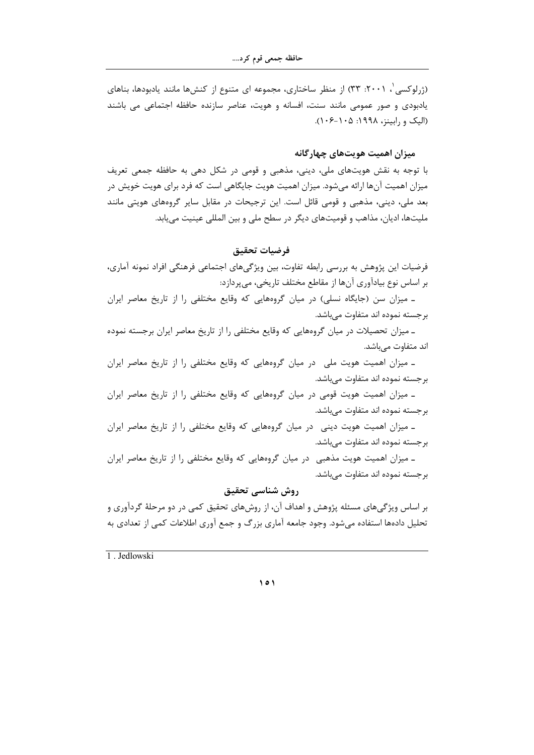(ژرلوکسی ، ۲۰۰۱: ۳۳) از منظر ساختاری، مجموعه ای متنوع از کنشها مانند یادبودها، بناهای یادبودی و صور عمومی مانند سنت، افسانه و هویت، عناصر سازنده حافظه اجتماعی می باشند (الیک و رابینز، ۱۹۹۸: ۱۰۵–۱۰۶).

## میزان اهمیت هویتهای چهارگانه

با توجه به نقش هویتهای ملی، دینی، مذهبی و قومی در شکل دهی به حافظه جمعی تعریف میزان اهمیت آنها ارائه میشود. میزان اهمیت هویت جایگاهی است که فرد برای هویت خویش در بعد ملی، دینی، مذهبی و قومی قائل است. این ترجیحات در مقابل سایر گروههای هویتی مانند ملیتها، ادیان، مذاهب و قومیتهای دیگر در سطح ملی و بین المللی عینیت می یابد.

#### فرضيات تحقيق

فرضیات این پژوهش به بررسی رابطه تفاوت، بین ویژگیهای اجتماعی فرهنگی افراد نمونه آماری، بر اساس نوع بيادآوري آنها از مقاطع مختلف تاريخي، مي پردازد:

۔ میزان سن (جایگاہ نسلی) در میان گروہھایی که وقایع مختلفی را از تاریخ معاصر ایران بر جسته نموده اند متفاوت مے باشد.

ـ میزان تحصیلات در میان گروههایی که وقایع مختلفی را از تاریخ معاصر ایران برجسته نموده اند متفاوت مىباشد.

۔ میزان اهمیت هویت ملی در میان گروههایی که وقایع مختلفی را از تاریخ معاصر ایران بر جسته نموده اند متفاوت میباشد.

۔ میزان اهمیت هویت قومی در میان گروههایی که وقایع مختلفی را از تاریخ معاصر ایران بر جسته نموده اند متفاوت مے باشد.

۔ میزان اهمیت هویت دینی در میان گروههایی که وقایع مختلفی را از تاریخ معاصر ایران برجسته نموده اند متفاوت مىباشد.

۔ میزان اهمیت هویت مذهبی ٍ در میان گروههایی که وقایع مختلفی را از تاریخ معاصر ایران برجسته نموده اند متفاوت مىباشد.

## روش شناسي تحقيق

بر اساس ویژگیهای مسئله پژوهش و اهداف آن، از روشهای تحقیق کمی در دو مرحلهٔ گردآوری و تحلیل دادهها استفاده میشود. وجود جامعه آماری بزرگ و جمع آوری اطلاعات کمی از تعدادی به

1 Jedlowski

 $\vee$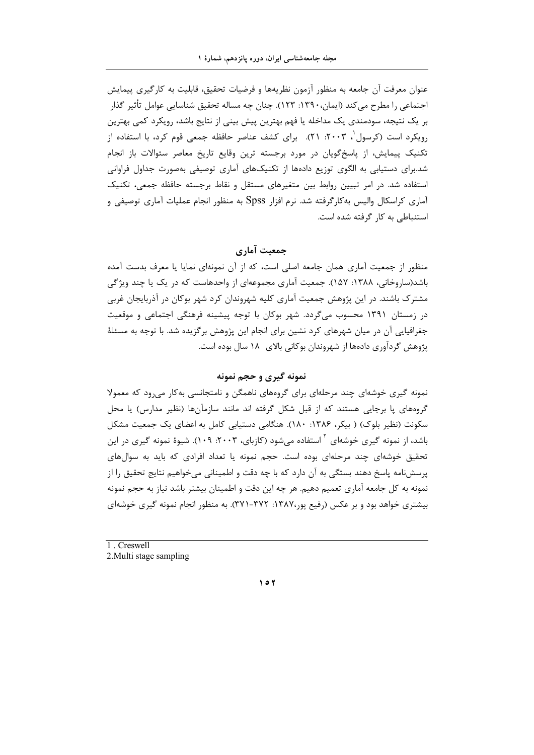عنوان معرفت آن جامعه به منظور آزمون نظريهها و فرضيات تحقيق، قابليت به كارگيري پيمايش اجتماعي را مطرح مي كند (ايمان،١٣٩٠: ١٢٣). چنان چه مساله تحقيق شناسايي عوامل تأثير گذار بر یک نتیجه، سودمندی یک مداخله یا فهم بهترین پیش بینی از نتایج باشد، رویکرد کمی بهترین رویکرد است (کرسول ۲۰۰۳: ۲۱). برای کشف عناصر حافظه جمعی قوم کرد، با استفاده از تکنیک پیمایش، از پاسخگویان در مورد برجسته ترین وقایع تاریخ معاصر سئوالات باز انجام شد.برای دستیابی به الگوی توزیع دادهها از تکنیکهای آماری توصیفی بهصورت جداول فراوانی استفاده شد. در امر تبیین روابط بین متغیرهای مستقل و نقاط برجسته حافظه جمعی، تکنیک آماری کراسکال والیس به کارگرفته شد. نرم افزار Spss به منظور انجام عملیات آماری توصیفی و استنباطی به کار گرفته شده است.

جمعیت آماری

منظور از جمعیت آماری همان جامعه اصلی است، که از آن نمونهای نمایا یا معرف بدست آمده باشد(ساروخانی، ۱۳۸۸: ۱۵۷). جمعیت آماری مجموعهای از واحدهاست که در یک یا چند ویژگی مشترک باشند. در این پژوهش جمعیت آماری کلیه شهروندان کرد شهر بوکان در آذربایجان غربی در زمستان ۱۳۹۱ محسوب میگردد. شهر بوکان با توجه پیشینه فرهنگی اجتماعی و موقعیت جغرافیایی آن در میان شهرهای کرد نشین برای انجام این پژوهش برگزیده شد. با توجه به مسئلهٔ پژوهش گردآوری دادهها از شهروندان بوکانی بالای ۱۸ سال بوده است.

## نمونه گیری و حجم نمونه

نمونه گیری خوشهای چند مرحلهای برای گروههای ناهمگن و نامتجانسی به کار می رود که معمولا گروههای یا برجایی هستند که از قبل شکل گرفته اند مانند سازمآنها (نظیر مدارس) یا محل سکونت (نظیر بلوک) ( بیکر، ۱۳۸۶: ۱۸۰). هنگامی دستیابی کامل به اعضای یک جمعیت مشکل باشد، از نمونه گیری خوشهای <sup>۲</sup> استفاده میشود (کازبای، ۲۰۰۳: ۱۰۹). شیوهٔ نمونه گیری در این تحقیق خوشهای چند مرحلهای بوده است. حجم نمونه یا تعداد افرادی که باید به سوالهای پرسشنامه پاسخ دهند بستگی به آن دارد که با چه دقت و اطمینانی میخواهیم نتایج تحقیق را از نمونه به کل جامعه آماری تعمیم دهیم. هر چه این دقت و اطمینان بیشتر باشد نیاز به حجم نمونه بیشتری خواهد بود و بر عکس (رفیع پور،۱۳۸۷: ۳۷۲-۳۷۱). به منظور انجام نمونه گیری خوشهای

1. Creswell 2. Multi stage sampling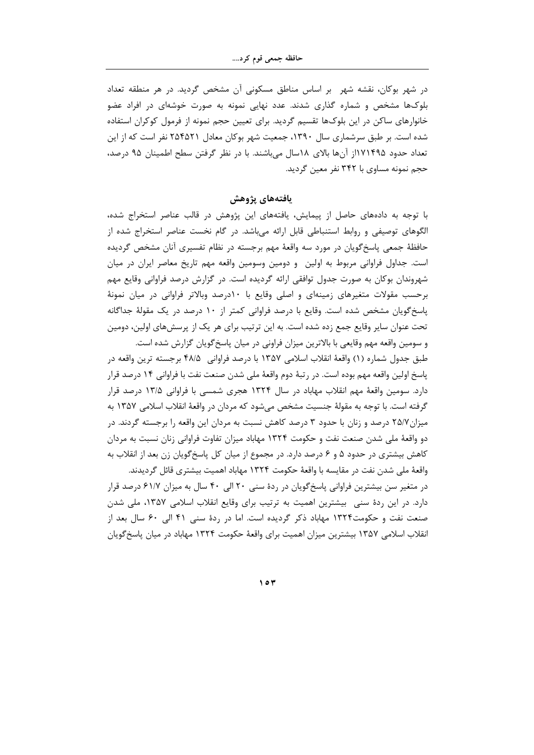در شهر بوکان، نقشه شهر ً بر اساس مناطق مسکونی اَن مشخص گردید. در هر منطقه تعداد بلوکها مشخص و شماره گذاری شدند. عدد نهایی نمونه به صورت خوشهای در افراد عضو خانوارهای ساکن در این بلوکها تقسیم گردید. برای تعیین حجم نمونه از فرمول کوکران استفاده شده است. بر طبق سرشماری سال ۱۳۹۰، جمعیت شهر بوکان معادل ۲۵۴۵۲۱ نفر است که از این تعداد حدود ۱۱۷۱۴۹۵ از آنها بالای ۱۸سال میباشند. با در نظر گرفتن سطح اطمینان ۹۵ درصد، حجم نمونه مساوي با ۳۴۲ نفر معين گرديد.

يافتههاي پژوهش

با توجه به دادههای حاصل از پیمایش، یافتههای این پژوهش در قالب عناصر استخراج شده، الگوهای توصیفی و روابط استنباطی قابل ارائه میباشد. در گام نخست عناصر استخراج شده از حافظهٔ جمعی پاسخگویان در مورد سه واقعهٔ مهم برجسته در نظام تفسیری آنان مشخص گردیده است. جداول فراوانی مربوط به اولین۔ و دومین وسومین واقعه مهم تاریخ معاصر ایران در میان شهروندان بوکان به صورت جدول توافقی ارائه گردیده است. در گزارش درصد فراوانی وقایع مهم برحسب مقولات متغیرهای زمینهای و اصلی وقایع با ۱۰درصد وبالاتر فراوانی در میان نمونهٔ پاسخ گویان مشخص شده است. وقایع با درصد فراوانی کمتر از ۱۰ درصد در یک مقولهٔ جداگانه تحت عنوان سایر وقایع جمع زده شده است. به این ترتیب برای هر یک از پرسشهای اولین، دومین و سومین واقعه مهم وقایعی با بالاترین میزان فراونی در میان پاسخ گویان گزارش شده است.

طبق جدول شماره (١) واقعهٔ انقلاب اسلامی ١٣۵٧ با درصد فراوانی ۴۸/۵ برجسته ترین واقعه در پاسخ اولین واقعه مهم بوده است. در رتبهٔ دوم واقعهٔ ملی شدن صنعت نفت با فراوانی ۱۴ درصد قرار دارد. سومین واقعهٔ مهم انقلاب مهاباد در سال ۱۳۲۴ هجری شمسی با فراوانی ۱۳/۵ درصد قرار گرفته است. با توجه به مقولهٔ جنسیت مشخص میشود که مردان در واقعهٔ انقلاب اسلامی ۱۳۵۷ به میزان۲۵/۷ درصد و زنان با حدود ۳ درصد کاهش نسبت به مردان این واقعه را برجسته گردند. در دو واقعهٔ ملی شدن صنعت نفت و حکومت ۱۳۲۴ مهاباد میزان تفاوت فراوانی زنان نسبت به مردان کاهش بیشتری در حدود ۵ و ۶ درصد دارد. در مجموع از میان کل پاسخگویان زن بعد از انقلاب به واقعهٔ ملی شدن نفت در مقایسه با واقعهٔ حکومت ۱۳۲۴ مهاباد اهمیت بیشتری قائل گردیدند.

در متغیر سن بیشترین فراوانی پاسخ گویان در ردهٔ سنی ۲۰ الی ۴۰ سال به میزان ۶۱/۷ درصد قرار دارد. در این ردهٔ سنی بیشترین اهمیت به ترتیب برای وقایع انقلاب اسلامی ۱۳۵۷، ملی شدن صنعت نفت و حکومت۱۳۲۴ مهاباد ذکر گردیده است. اما در ردهٔ سنی ۴۱ الی ۶۰ سال بعد از انقلاب اسلامی ۱۳۵۷ بیشترین میزان اهمیت برای واقعهٔ حکومت ۱۳۲۴ مهاباد در میان پاسخ گویان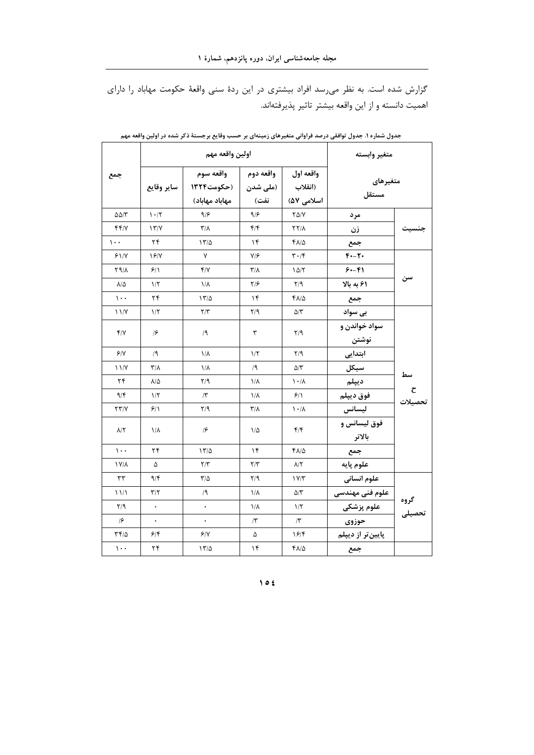گزارش شده است. به نظر میرسد افراد بیشتری در این ردهٔ سنی واقعهٔ حکومت مهاباد را دارای اهميت دانسته و از اين واقعه بيشتر تاثير پذيرفتهاند.

|                          | اولين واقعه مهم         |                                                                     |                         |                                    | متغير وابسته           |                                |
|--------------------------|-------------------------|---------------------------------------------------------------------|-------------------------|------------------------------------|------------------------|--------------------------------|
| جمع                      |                         | واقعه سوم<br>  (ملى شدن   (حكومت١٣٢۴   ساير وقايع<br>مهاباد مهاباد) | واقعه دوم<br>نفت)       | واقعه اول<br>(انقلاب<br>اسلامی ۵۷) | متغيرهاى<br>مستقل      |                                |
| $\Delta \Delta/\Upsilon$ | $\mathcal{N}$           | 9/8                                                                 | 9/8                     | $Y\Delta/Y$                        | مرد                    |                                |
| f f / V                  | $\frac{1}{\gamma}$      | $\mathsf{r}/\mathsf{r}$                                             | $f/\mathfrak{f}$        | $\Upsilon\Upsilon/\Lambda$         | زن                     | جنسيت                          |
| $\mathcal{L}$ .          | ۲۴                      | 1770                                                                | ۱۴                      | ۴۸/۵                               | جمع                    |                                |
| 51/1                     | 18/Y                    | ٧                                                                   | V/F                     | $\mathbf{r} \cdot \mathbf{r}$      | $F - T$                |                                |
| 89/1                     | 9/1                     | Y/Y                                                                 | $\mathsf{r}/\mathsf{v}$ | 10/7                               | $9 - 9$                |                                |
| $\lambda/\Delta$         | $1/\Upsilon$            | $1/\lambda$                                                         | ۲۱۶                     | $Y$ <sup>9</sup>                   | ۶۱ به بالا             | سن                             |
| $\mathcal{L}$ .          | ۲۴                      | 17/2                                                                | ۱۴                      | ۴۸/۵                               | جمع                    |                                |
| $\frac{1}{\sqrt{2}}$     | $1/\tau$                | Y/Y                                                                 | Y/9                     | $\Delta/\Upsilon$                  | بی سواد                |                                |
| Y/Y                      | $\sqrt{2}$              | /9                                                                  | ٣                       | Y/9                                | سواد خواندن و<br>نوشتن |                                |
| 9/1                      | /9                      | $1/\lambda$                                                         | $1/\zeta$               | Y/9                                | ابتدایی                |                                |
| 11/Y                     | $\mathsf{r}/\mathsf{r}$ | $1/\lambda$                                                         | /9                      | ۵/۳                                | سيكل                   | سط                             |
| ۲۴                       | $\lambda/\Delta$        | ۲/۹                                                                 | ۱/۸                     | $\lambda \cdot / \lambda$          | ديپلم                  |                                |
| 9/5                      | $1/\zeta$               | $\mathcal{N}$                                                       | ۱/۸                     | ۶۱۱                                | فوق ديپلم              | $\boldsymbol{\tau}$<br>تحصيلات |
| YY/Y                     | 9/1                     | Y/9                                                                 | ۳/۸                     | ۱۰۱۸                               | ليسانس                 |                                |
| $\lambda/\Upsilon$       | $1/\lambda$             | $\sqrt{2}$                                                          | $1/\Delta$              | $f/\mathfrak{f}$                   | فوق ليسانس و<br>بالاتر |                                |
| $\mathcal{L}$ .          | ۲۴                      | 17/2                                                                | ۱۴                      | $Y\Lambda/\Delta$                  | جمع                    |                                |
| 1 Y/A                    | ۵                       | $\mathsf{Y}/\mathsf{Y}$                                             | $\Upsilon/\Upsilon$     | $\lambda/\Upsilon$                 | علوم پايه              |                                |
| ٣٣                       | 9/5                     | $\frac{1}{2}$                                                       | $\mathsf{Y}/\mathsf{q}$ | 1 Y/T                              | علوم انسانی            |                                |
| 11/1                     | $\mathbf{r}/\mathbf{r}$ | /۹                                                                  | ۱/۸                     | $\Delta/\tau$                      | علوم فنى مهندسى        |                                |
| $Y$ /9                   | $\bullet$               | $\bullet$                                                           | ۱/۸                     | $1/\Upsilon$                       | علوم پزشکی             | گروه<br>تحصیلی                 |
| $\sqrt{2}$               | $\bullet$               | $\bullet$                                                           | $\Lambda$               | $\sqrt{r}$                         | حوزوى                  |                                |
| ۳۴/۵                     | 5/6                     | 9/1                                                                 | ۵                       | ۱۶۱۴                               | پایین تر از دیپلم      |                                |
| $\mathcal{L}$ .          | ۲۴                      | 17/2                                                                | $\mathcal{N}$           | ۴۸/۵                               | جمع                    |                                |

جدول شماره ۱. جدول توافقی درصد فراوانی متغیرهای زمینهای بر حسب وقایع برجستهٔ ذکر شده در اولین واقعه مهم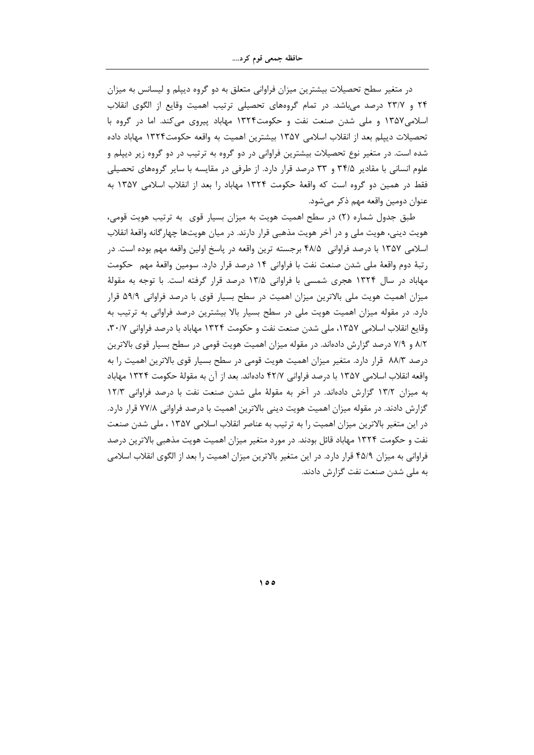در متغیر سطح تحصیلات بیشترین میزان فراوانی متعلق به دو گروه دیپلم و لیسانس به میزان ۲۴ و ۲۳/۷ درصد می باشد. در تمام گروههای تحصیلی ترتیب اهمیت وقایع از الگوی انقلاب اسلامی۱۳۵۷ و ملی شدن صنعت نفت و حکومت۱۳۲۴ مهاباد پیروی میکند. اما در گروه با تحصيلات دييلم بعد از انقلاب اسلامي ١٣۵٧ بيشترين اهميت به واقعه حكومت١٣٢۴ مهاباد داده شده است. در متغیر نوع تحصیلات بیشترین فراوانی در دو گروه به ترتیب در دو گروه زیر دیپلم و علوم انسانی با مقادیر ۳۴/۵ و ۳۳ درصد قرار دارد. از طرفی در مقایسه با سایر گروههای تحصیلی فقط در همین دو گروه است که واقعهٔ حکومت ۱۳۲۴ مهاباد را بعد از انقلاب اسلامی ۱۳۵۷ به عنوان دومین واقعه مهم ذکر مے شود.

طبق جدول شماره (۲) در سطح اهمیت هویت به میزان بسیار قوی۔به ترتیب هویت قومی، هويت ديني، هويت ملي و در آخر هويت مذهبي قرار دارند. در ميان هويتها چهار گانه واقعهٔ انقلاب اسلامی ۱۳۵۷ با درصد فراوانی ۴۸/۵ برجسته ترین واقعه در پاسخ اولین واقعه مهم بوده است. در رتبهٔ دوم واقعهٔ ملی شدن صنعت نفت با فراوانی ۱۴ درصد قرار دارد. سومین واقعهٔ مهم حکومت مهاباد در سال ۱۳۲۴ هجری شمسی با فراوانی ۱۳/۵ درصد قرار گرفته است. با توجه به مقولهٔ میزان اهمیت هویت ملی بالاترین میزان اهمیت در سطح بسیار قوی با درصد فراوانی ۵۹/۹ قرار دارد. در مقوله میزان اهمیت هویت ملی در سطح بسیار بالا بیشترین درصد فراوانی به ترتیب به وقايع انقلاب اسلامي ١٣۵٧، ملي شدن صنعت نفت و حكومت ١٣٢۴ مهاباد با درصد فراواني ٣٠/٧، ۸/۲ و ۷/۹ درصد گزارش دادهاند. در مقوله میزان اهمیت هویت قومی در سطح بسیار قوی بالاترین درصد ۸۸/۳ قرار دارد. متغیر میزان اهمیت هویت قومی در سطح بسیار قوی بالاترین اهمیت را به واقعه انقلاب اسلامي ١٣۵٧ با درصد فراواني ۴٢/٧ دادهاند. بعد از آن به مقولهٔ حکومت ١٣٢۴ مهاباد به میزان ۱۳/۲ گزارش دادهاند. در آخر به مقولهٔ ملی شدن صنعت نفت با درصد فراوانی ۱۲/۳ گزارش دادند. در مقوله میزان اهمیت هویت دینی بالاترین اهمیت با درصد فراوانی ۷۷/۸ قرار دارد. در این متغیر بالاترین میزان اهمیت را به ترتیب به عناصر انقلاب اسلامی ۱۳۵۷ ، ملی شدن صنعت نفت و حکومت ۱۳۲۴ مهاباد قائل بودند. در مورد متغیر میزان اهمیت هویت مذهبی بالاترین درصد فراوانی به میزان ۴۵/۹ قرار دارد. در این متغیر بالاترین میزان اهمیت را بعد از الگوی انقلاب اسلامی به ملی شدن صنعت نفت گزارش دادند.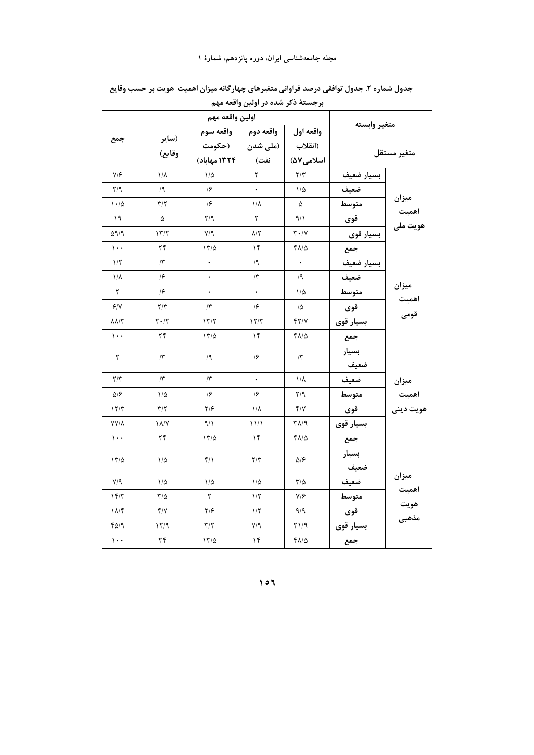|                         |                         | اولين واقعه مهم         |                         |                               |              |                             |
|-------------------------|-------------------------|-------------------------|-------------------------|-------------------------------|--------------|-----------------------------|
|                         |                         | واقعه دوم   واقعه سوم   |                         | واقعه اول                     | متغير وابسته |                             |
| جمع                     | (ساير                   |                         | (ملى شدن   (حكومت       | (انقلاب                       |              |                             |
|                         | وقايع)                  | 1۳۲۴ مهاباد)            | نفت)                    | اسلامی۷۵۷                     |              | متغير مستقل                 |
| $Y/\mathcal{F}$         | $1/\lambda$             | $1/\Delta$              | ٢                       | $\mathbf{Y}/\mathbf{Y}$       | بسيار ضعيف   |                             |
| $Y$ ۹                   | /9                      | $\sqrt{2}$              | $\ddot{\phantom{0}}$    | $1/\Delta$                    | ضعيف         |                             |
| $1 - 10$                | $\mathbf{r}/\mathbf{r}$ | $\sqrt{2}$              | $1/\lambda$             | ۵                             | متوسط        | ميزان<br>اهميت              |
| ۱۹                      | ۵                       | $\mathsf{Y}/\mathsf{Y}$ | ٢                       | $\gamma$                      | قوى          | هويت ملي                    |
| ۵۹/۹                    | 177                     | Y/9                     | $\lambda/\Upsilon$      | $\mathbf{r} \cdot \mathbf{v}$ | بسیار قوی    |                             |
| $\mathcal{L}$ .         | ۲۴                      | 17/2                    | ۱۴                      | ۴۸/۵                          | جمع          |                             |
| 1/5                     | $/\tau$                 | $\ddot{\phantom{0}}$    | /9                      | $\ddot{\phantom{0}}$          | بسيار ضعيف   |                             |
| $1/\lambda$             | $\sqrt{2}$              | $\bullet$               | $\mathcal{L}$           | /9                            | ضعيف         |                             |
| ٢                       | $\sqrt{2}$              | $\bullet$               | $\bullet$               | $1/\Delta$                    | متوسط        | ميزان                       |
| 9/1                     | $\mathbf{Y}/\mathbf{Y}$ | $\Lambda$               | $\sqrt{2}$              | 1۵                            | قوى          | اهميت<br>قومى               |
| $\lambda\lambda/\tau$   | $Y \cdot / Y$           | 177                     | 15/T                    | 4218                          | بسيار قوى    |                             |
| $\mathcal{L}$ .         | ۲۴                      | 17/2                    | ۱۴                      | $f\Lambda/\Delta$             | جمع          |                             |
| ٢                       | $\sqrt{r}$              | /9                      | $\sqrt{2}$              | $\sqrt{r}$                    | بسيار        |                             |
|                         |                         |                         |                         |                               | ضعيف         |                             |
| $\mathbf{r}/\mathbf{r}$ | $\sqrt{r}$              | $\sqrt{r}$              | $\bullet$               | $1/\lambda$                   | ضعيف         |                             |
| $\Delta/\mathcal{F}$    | $1/\Delta$              | $\sqrt{2}$              | $\sqrt{2}$              | $\mathbf{Y}/\mathbf{9}$       | متوسط        | میزان<br>اهمیت<br>هویت دینی |
| 17/T                    | $\mathbf{r}/\mathbf{r}$ | $\frac{1}{2}$           | $1/\lambda$             | Y/Y                           | قوى          |                             |
| <b>YY/A</b>             | $\lambda/\lambda'$      | ۹/۱                     | 11/1                    | ۳۸/۹                          | بسيار قوى    |                             |
| $\mathcal{L}$ .         | ۲۴                      | 17/2                    | ۱۴                      | ۴۸/۵                          | جمع          |                             |
| 17/2                    |                         | $f/\lambda$             | $\mathbf{r}/\mathbf{r}$ | ۵۱۶                           | بسيار        |                             |
|                         | ۱۵                      |                         |                         |                               | ضعيف         |                             |
| $V/\mathcal{A}$         | $1/\Delta$              | $1/\Delta$              | $1/\Delta$              | $T/\Delta$                    | ضعيف         | ميزان                       |
| 15/7                    | $\mathbf{r}/\mathbf{r}$ | ٢                       | 1/5                     | V/F                           | متوسط        | اهميت<br>هويت               |
| $\lambda/\mathcal{F}$   | Y/Y                     | $\frac{1}{2}$           | $1/\tau$                | 9/9                           | قوى          | مذهبى                       |
| ۴۵/۹                    | ۱۲/۹                    | $\mathbf{r}/\mathbf{r}$ | $Y/\gamma$              | $Y \setminus 1$               | بسيار قوى    |                             |
| $\mathcal{L}$ .         | $\mathbf{Y} \mathbf{f}$ | 17/2                    | $\mathcal{N}$           | $f\Lambda/\Delta$             | جمع          |                             |

جدول شماره ۲. جدول توافقی درصد فراوانی متغیرهای چهارگانه میزان اهمیت هویت بر حسب وقایع برجستهٔ ذکر شده در اولین واقعه مهم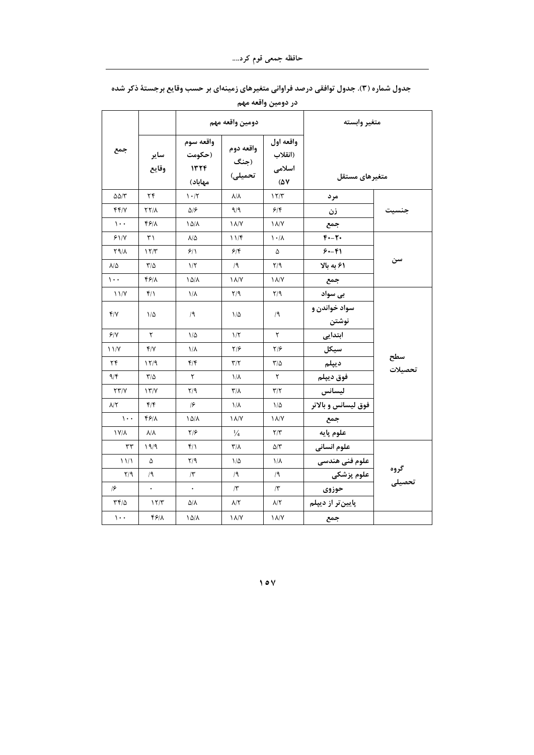|                               |                         |                                        |                                     | در دومین واقعه مهم                             |                        |                |
|-------------------------------|-------------------------|----------------------------------------|-------------------------------------|------------------------------------------------|------------------------|----------------|
|                               |                         |                                        | دومين واقعه مهم                     |                                                | متغير وابسته           |                |
| جمع                           | ساير<br>وقايع           | واقعه سوم<br>(حکومت<br>1555<br>مهاباد) | واقعه دوم<br>  (جنگ<br> <br>تحمیلی) | واقعه اول<br>(انقلاب<br>اسلامی<br>$(\Delta V)$ | متغيرهاى مستقل         |                |
| $\Delta\Delta/\Upsilon$       | $\mathbf{Y} \mathbf{F}$ | $\mathcal{N}\cdot\mathcal{N}$          | $\lambda/\lambda$                   | 17/T                                           | مرد                    |                |
| 441                           | <b>YY/1</b>             | ۵۱۶                                    | ۹/۹                                 | 5/6                                            | زن                     | جنسيت          |
| $\mathcal{L}$ .               | 4811                    | ۱۵/۸                                   | $\lambda/\gamma$                    | $\lambda/\gamma$                               | جمع                    |                |
| 51/8                          | ٣١                      | $\lambda/\Delta$                       | 117                                 | $\lambda \cdot / \lambda$                      | $F - T$                |                |
| 89/1                          | 15/T                    | ۶۱۱                                    | ۶۱۴                                 | ۵                                              | $5 - 51$               |                |
| ۸/۵                           | $\frac{1}{2}$           | $1/\Upsilon$                           | /۹                                  | $\mathsf{Y}/\mathsf{Y}$                        | ۶۱ به بالا             | سن             |
| $\mathcal{L}$ .               | ۴۶۱۸                    | ۱۵/۸                                   | $\lambda/\lambda'$                  | $\lambda/\gamma$                               | جمع                    |                |
| $\frac{1}{\sqrt{2}}$          | $f/\lambda$             | $1/\lambda$                            | $\mathbf{Y}/\mathbf{Y}$             | Y/9                                            | بی سواد                |                |
| ۴/۷                           | $1/\Delta$              | /۹                                     | $1/\Delta$                          | /9                                             | سواد خواندن و<br>نوشتن |                |
| 9/1                           | ٢                       | $1/\Delta$                             | $1/\zeta$                           | ٢                                              | ابتدایی                |                |
| $\frac{1}{\sqrt{2}}$          | $f/\gamma$              | ١/٨                                    | ۲۱۶                                 | ۲۱۶                                            | سيكل                   |                |
| ۲۴                            | 11/9                    | $f/\mathfrak{f}$                       | $\mathbf{Y}/\mathbf{Y}$             | $\mathbf{r}/\mathbf{r}$                        | ديپلم                  | سطح<br>تحصیلات |
| 9/5                           | $\frac{1}{2}$           | ٢                                      | ۱/۸                                 | ٢                                              | فوق ديپلم              |                |
| YY/Y                          | $\frac{1}{\sqrt{2}}$    | Y/9                                    | $\mathbf{r}/\mathbf{r}$             | $\mathbf{r}/\mathbf{r}$                        | ليسانس                 |                |
| $\lambda/\Upsilon$            | $f/\mathfrak{f}$        | $\sqrt{2}$                             | ۱/۸                                 | $1/\Delta$                                     | فوق لیسانس و بالاتر    |                |
| $\mathcal{L}$ .               | 4811                    | $10/\lambda$                           | $\lambda/\lambda'$                  | $\lambda/\gamma$                               | جمع                    |                |
| 1 V/A                         | $\lambda/\lambda$       | $Y/\mathcal{F}$                        | $\frac{1}{4}$                       | Y/Y                                            | علوم پايه              |                |
| $\tau\tau$                    | 19/9                    | ۴۱۱                                    | $\mathsf{r}/\mathsf{v}$             | ۵/۳                                            | علوم انسانى            |                |
| $\frac{1}{2}$                 | ۵                       | $\mathsf{Y}/\mathsf{q}$                | $1/\Delta$                          | $1/\lambda$                                    | علوم فنی هندسی         |                |
| $Y$ <sup><math>9</math></sup> | /9                      | $\Lambda$                              | /9                                  | /9                                             | علوم پزشکی             | گروه<br>تحصیلی |
| $\sqrt{2}$                    | $\ddot{\phantom{0}}$    |                                        | $\Lambda$                           | $\Lambda$                                      | حوزوى                  |                |
| $\mathbf{r} \mathbf{r}$       | 17/T                    | ۵/۸                                    | $\lambda/\Upsilon$                  | ۸/۲                                            | پایینتر از دیپلم       |                |
| $\mathcal{L}$ .               | 4818                    | ۱۵/۸                                   | $\lambda/\gamma$                    | $\lambda/\gamma$                               | جمع                    |                |

جدول شماره (۳). جدول توافقی درصد فراوانی متغیرهای زمینهای بر حسب وقایع برجستهٔ ذکر شده

 $\vee$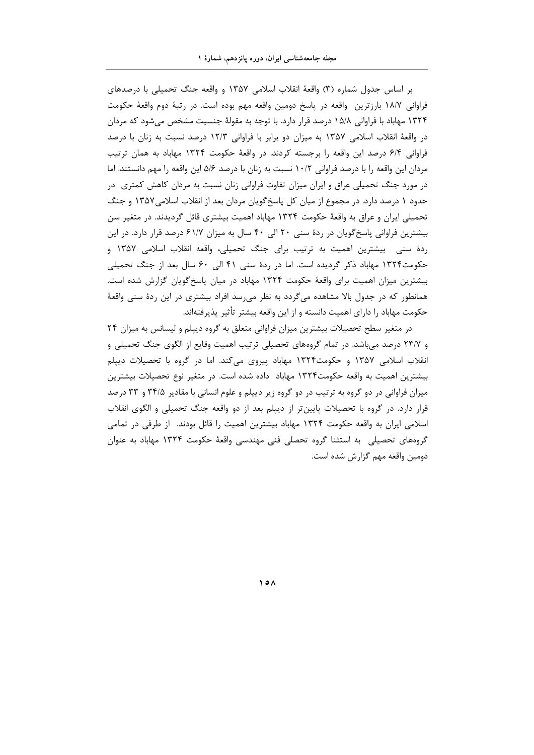بر اساس جدول شماره (۳) واقعهٔ انقلاب اسلامی ۱۳۵۷ و واقعه جنگ تحمیلی با درصدهای فراوانی ۱۸/۷ بارزترین واقعه در پاسخ دومین واقعه مهم بوده است. در رتبهٔ دوم واقعهٔ حکومت ۱۳۲۴ مهاباد با فراوانی ۱۵/۸ درصد قرار دارد. با توجه به مقولهٔ جنسیت مشخص میشود که مردان در واقعهٔ انقلاب اسلامی ۱۳۵۷ به میزان دو برابر با فراوانی ۱۲/۳ درصد نسبت به زنان با درصد فراوانی ۶/۴ درصد این واقعه را برجسته کردند. در واقعهٔ حکومت ۱۳۲۴ مهاباد به همان ترتیب مردان این واقعه را با درصد فراوانی ۱۰/۲ نسبت به زنان با درصد ۵/۶ این واقعه را مهم دانستند. اما در مورد جنگ تحمیلی عراق و ایران میزان تفاوت فراوانی زنان نسبت به مردان کاهش کمتری ٍ در حدود ۱ درصد دارد. در مجموع از میان کل پاسخگویان مردان بعد از انقلاب اسلامی۱۳۵۷ و جنگ تحمیلی ایران و عراق به واقعهٔ حکومت ۱۳۲۴ مهاباد اهمیت بیشتری قائل گردیدند. در متغیر سن بیشترین فراوانی پاسخ گویان در ردهٔ سنی ۲۰ الی ۴۰ سال به میزان ۶۱/۷ درصد قرار دارد. در این ردهٔ سنی بیشترین اهمیت به ترتیب برای جنگ تحمیلی، واقعه انقلاب اسلامی ۱۳۵۷ و حکومت۱۳۲۴ مهاباد ذکر گردیده است. اما در ردهٔ سنی ۴۱ الی ۶۰ سال بعد از جنگ تحمیلی بیشترین میزان اهمیت برای واقعهٔ حکومت ۱۳۲۴ مهاباد در میان پاسخ گویان گزارش شده است. همانطور که در جدول بالا مشاهده میگردد به نظر میرسد افراد بیشتری در این ردهٔ سنی واقعهٔ حکومت مهاباد را دارای اهمیت دانسته و از این واقعه بیشتر تأثیر پذیرفتهاند.

در متغیر سطح تحصیلات بیشترین میزان فراوانی متعلق به گروه دیپلم و لیسانس به میزان ۲۴ و ۲۳/۷ درصد می.باشد. در تمام گروههای تحصیلی ترتیب اهمیت وقایع از الگوی جنگ تحمیلی و انقلاب اسلامی ۱۳۵۷ و حکومت۱۳۲۴ مهاباد پیروی میکند. اما در گروه با تحصیلات دیپلم بیشترین اهمیت به واقعه حکومت۱۳۲۴ مهاباد داده شده است. در متغیر نوع تحصیلات بیشترین میزان فراوانی در دو گروه به ترتیب در دو گروه زیر دیپلم و علوم انسانی با مقادیر ۳۴/۵ و ۳۳ درصد قرار دارد. در گروه با تحصیلات پایینتر از دیپلم بعد از دو واقعه جنگ تحمیلی و الگوی انقلاب اسلامی ایران به واقعه حکومت ۱۳۲۴ مهاباد بیشترین اهمیت را قائل بودند. از طرفی در تمامی گروههای تحصیلی به استثنا گروه تحصلی فنی مهندسی واقعهٔ حکومت ۱۳۲۴ مهاباد به عنوان دومین واقعه مهم گزارش شده است.

 $\Delta$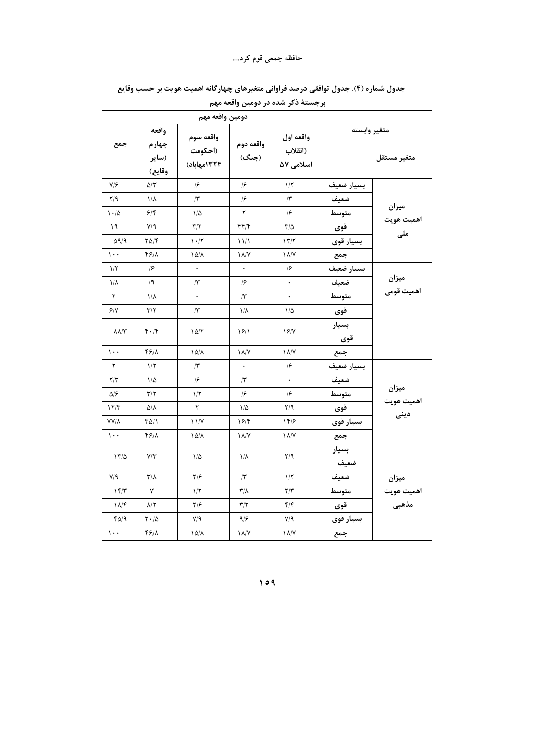|                            |                                   | دومين واقعه مهم                     |                         |                                   |                             |                              |  |
|----------------------------|-----------------------------------|-------------------------------------|-------------------------|-----------------------------------|-----------------------------|------------------------------|--|
| جمع                        | واقعه<br>چهارم<br>(ساير<br>وقايع) | واقعه سوم<br>(احکومت<br>١٣٢٤مهاباد) | واقعه دوم<br>(جنگ)      | واقعه اول<br>(انقلاب<br>اسلامی ۵۷ | متغير وابسته<br>متغير مستقل |                              |  |
| V/F                        | $\Delta/\Upsilon$                 | $\sqrt{2}$                          | $\sqrt{2}$              | $1/\Upsilon$                      | بسيار ضعيف                  |                              |  |
| Y/9                        | $1/\lambda$                       | $\Lambda$                           | $\sqrt{2}$              | $\mathcal{N}$                     | ضعيف                        |                              |  |
| $1 - 10$                   | 5/5                               | $1/\Delta$                          | ٢                       | $\sqrt{2}$                        | متوسط                       | ميزان                        |  |
| ۱۹                         | V/9                               | $\Upsilon/\Upsilon$                 | 4414                    | $\frac{1}{2}$                     | قوى                         | اهمیت هویت<br>ملی            |  |
| $\Delta$ 9/9               | $\frac{8}{4}$                     | $\mathcal{N} \cdot \mathcal{N}$     | 11/1                    | 177                               | بسيار قوى                   |                              |  |
| $\mathcal{L}$ .            | 4818                              | $10/\lambda$                        | $\lambda/\gamma$        | $\lambda/\gamma$                  | جمع                         |                              |  |
| $1/\zeta$                  | $\sqrt{2}$                        | $\ddot{\phantom{0}}$                | $\bullet$               | $\sqrt{2}$                        | بسيار ضعيف                  |                              |  |
| $1/\lambda$                | /9                                | $\mathcal{N}$                       | $\sqrt{2}$              | $\bullet$                         | ضعيف                        | میزان<br>اهمیت قومی          |  |
| $\mathsf Y$                | $1/\lambda$                       | $\ddot{\phantom{0}}$                | $\Lambda$               | $\ddot{\phantom{0}}$              | متوسط                       |                              |  |
| 9/1                        | $\mathbf{Y}/\mathbf{Y}$           | $\Lambda$                           | ١/٨                     | ۱۵                                | قوى                         |                              |  |
| $\lambda \lambda/\Upsilon$ | 4.18                              | 10/7                                | $\frac{5}{2}$           | 19/1                              | بسيار<br>قوى                |                              |  |
| $\mathcal{L}$ .            | 4811                              | $\Delta/\lambda$                    | $\lambda/\gamma$        | $\lambda/\nu$                     | جمع                         |                              |  |
| ٢                          | $1/\Upsilon$                      | $\Lambda$                           | $\ddot{\phantom{0}}$    | $\sqrt{2}$                        | بسيار ضعيف                  |                              |  |
| Y/Y                        | $1/\Delta$                        | $\sqrt{2}$                          | $/\Upsilon$             | $\bullet$                         | ضعيف                        |                              |  |
| ۵۱۶                        | $\Upsilon/\Upsilon$               | $1/\Upsilon$                        | $\sqrt{2}$              | $\sqrt{2}$                        | متوسط                       | ميزان<br>اهميت هويت          |  |
| 17/T                       | ۵/۸                               | ٢                                   | ۱۵                      | Y/9                               | قوى                         |                              |  |
| <b>YY/A</b>                | $T\Delta/1$                       | 11/Y                                | 15/5                    | 159                               | بسيار قوى                   | دينى                         |  |
| $\mathcal{L}$ .            | 4818                              | $10/\lambda$                        | $\lambda/\gamma$        | $\lambda/\gamma$                  | جمع                         |                              |  |
| 17/0                       | $V/\Upsilon$                      | $1/\Delta$                          | $1/\lambda$             | $Y$ /9                            | بسيار<br>ضعيف               |                              |  |
| $V/\mathcal{A}$            | $\mathsf{r}/\mathsf{v}$           | $Y/\mathcal{F}$                     | $\Lambda$               | $1/\zeta$                         | ضعيف                        |                              |  |
| 15/7                       | ٧                                 | $1/\Upsilon$                        | $\mathsf{r}/\mathsf{r}$ | Y/Y                               | متوسط                       | میزان<br>اهمیت هویت<br>مذهبی |  |
| $1\lambda$ /۴              | $\lambda/\Upsilon$                | $Y/\mathcal{F}$                     | $\Upsilon/\Upsilon$     | $f/\mathfrak{f}$                  | قوى                         |                              |  |
| $f\Delta$                  | $\mathbf{Y}\bullet/\Delta$        | $V/\mathcal{A}$                     | 9/8                     | Y/9                               | بسيار قوى                   |                              |  |
| $\mathcal{L}$ .            | $f$ $f$ $\lambda$                 | $1\Delta/\lambda$                   | 1 A/Y                   | $\lambda/\gamma$                  | جمع                         |                              |  |

جدول شماره (۴). جدول توافقی درصد فراوانی متغیرهای چهارگانه اهمیت هویت بر حسب وقایع

برجستهٔ ذکر شده در دومین واقعه مهم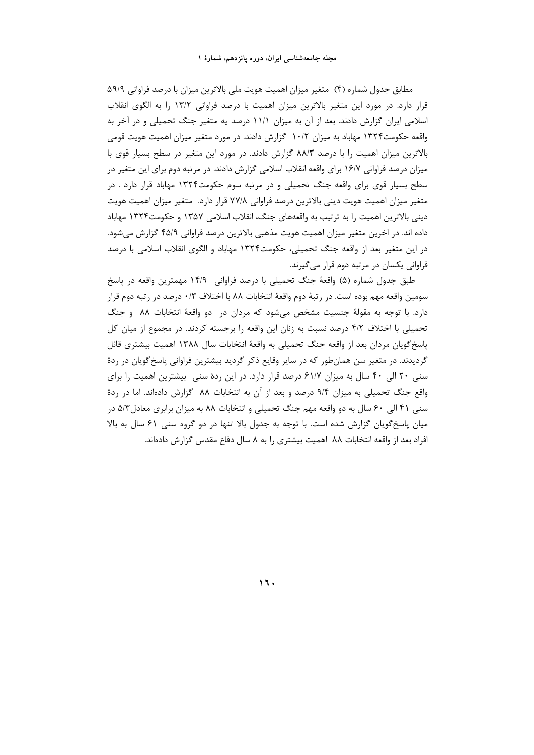مطابق جدول شماره (۴) متغیر میزان اهمیت هویت ملی بالاترین میزان با درصد فراوانی ۵۹/۹ قرار دارد. در مورد این متغیر بالاترین میزان اهمیت با درصد فراوانی ۱۳/۲ را به الگوی انقلاب اسلامی ایران گزارش دادند. بعد از آن به میزان ۱۱/۱ درصد یه متغیر جنگ تحمیلی و در آخر به واقعه حکومت۱۳۲۴ مهاباد به میزان ۱۰/۲ گزارش دادند. در مورد متغیر میزان اهمیت هویت قومی بالاترین میزان اهمیت را با درصد ۸۸/۳ گزارش دادند. در مورد این متغیر در سطح بسیار قوی با میزان درصد فراوانی ۱۶/۷ برای واقعه انقلاب اسلامی گزارش دادند. در مرتبه دوم برای این متغیر در سطح بسیار قوی برای واقعه جنگ تحمیلی و در مرتبه سوم حکومت۱۳۲۴ مهاباد قرار دارد . در متغير ميزان اهميت هويت ديني بالاترين درصد فراواني ٧٧/٨ قرار دارد. متغير ميزان اهميت هويت دینی بالاترین اهمیت را به ترتیب به واقعههای جنگ، انقلاب اسلامی ۱۳۵۷ و حکومت۱۳۲۴ مهاباد داده اند. در اخرین متغیر میزان اهمیت هویت مذهبی بالاترین درصد فراوانی ۴۵/۹ گزارش میشود. در این متغیر بعد از واقعه جنگ تحمیلی، حکومت۱۳۲۴ مهاباد و الگوی انقلاب اسلامی با درصد فراوانی یکسان در مرتبه دوم قرار میگیرند.

طبق جدول شماره (۵) واقعهٔ جنگ تحمیلی با درصد فراوانی ۱۴/۹ مهمترین واقعه در پاسخ سومین واقعه مهم بوده است. در رتبهٔ دوم واقعهٔ انتخابات ۸۸ با اختلاف ۰/۳ درصد در رتبه دوم قرار دارد. با توجه به مقولهٔ جنسیت مشخص میشود که مردان در دو واقعهٔ انتخابات ۸۸ و جنگ تحمیلی با اختلاف ۴/۲ درصد نسبت به زنان این واقعه ۱٫ برجسته کردند. در مجموع از میان کل یاسخ گویان مردان بعد از واقعه جنگ تحمیلی به واقعهٔ انتخابات سال ۱۳۸۸ اهمیت بیشتری قائل گردیدند. در متغیر سن همانطور که در سایر وقایع ذکر گردید بیشترین فراوانی پاسخگویان در ردهٔ سنی ۲۰ الی ۴۰ سال به میزان ۶۱/۷ درصد قرار دارد. در این ردهٔ سنی بیشترین اهمیت را برای واقع جنگ تحمیلی به میزان ۹/۴ درصد و بعد از آن به انتخابات ۸۸ گزارش دادهاند. اما در ردهٔ سنی ۴۱ الی ۶۰ سال به دو واقعه مهم جنگ تحمیلی و انتخابات ۸۸ به میزان برابری معادل ۵/۳ در میان پاسخگویان گزارش شده است. با توجه به جدول بالا تنها در دو گروه سنی ۶۱ سال به بالا افراد بعد از واقعه انتخابات ۸۸ اهمیت بیشتری را به ۸ سال دفاع مقدس گزارش دادهاند.

**˺˿˹**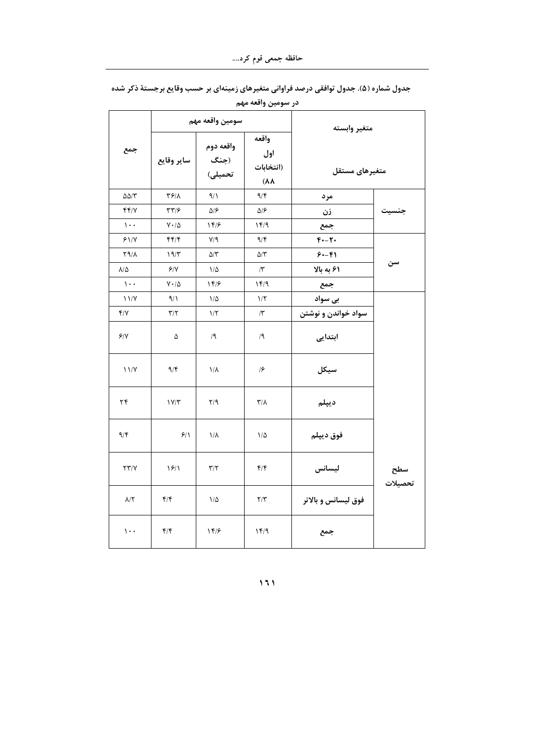|                                |                         |                              | در سومين واقعه مهم                               |                     |                |
|--------------------------------|-------------------------|------------------------------|--------------------------------------------------|---------------------|----------------|
|                                |                         | سومين واقعه مهم              |                                                  | متغير وابسته        |                |
| جمع                            | ا ساير وقايع            | واقعه دوم<br>(جنگ<br>تحمیلی) | واقعه<br>اول<br>(انتخابات<br>$(\lambda \lambda)$ | متغيرهاى مستقل      |                |
| $\Delta\Delta/\Upsilon$        | ۳۶/۸                    | $\sqrt{1}$                   | 9/5                                              | مرد                 |                |
| f f / V                        | ۳۳/۶                    | $\Delta$ /۶                  | ۵۱۶                                              | زن                  | جنسيت          |
| $\mathcal{L}$ .                | $V \cdot / \Delta$      | 14/۶                         | 15/9                                             | جمع                 |                |
| 91/7                           | f(f)                    | $V/\mathcal{A}$              | 9/5                                              | $F - T$             |                |
| <b>79/1</b>                    | 19/7                    | $\Delta/\tau$                | $\Delta/\Upsilon$                                | $8 - 81$            |                |
| $\lambda/\Delta$               | 9/1                     | $1/\Delta$                   | $\Lambda$                                        | ۶۱ به بالا          | سن             |
| $\mathcal{L}$ .                | $V \cdot / \Delta$      | 14/6                         | 14/9                                             | جمع                 |                |
| 11/Y                           | 9/1                     | $1/\Delta$                   | $1/\Upsilon$                                     | بی سواد             |                |
| Y/Y                            | $\mathbf{r}/\mathbf{r}$ | $1/\tau$                     | $\sqrt{r}$                                       | سواد خواندن و نوشتن |                |
| 9/1                            | ۵                       | /9                           | /9                                               | ابتدایی             |                |
| 11/Y                           | 9/5                     | $1/\lambda$                  | $\sqrt{2}$                                       | سيكل                |                |
| ۲۴                             | $1 \text{V/T}$          | $Y$ /9                       | $\mathsf{r}/\mathsf{v}$                          | ديپلم               |                |
| 9/5                            | 9/1                     | $1/\lambda$                  | $1/\Delta$                                       | فوق ديپلم           |                |
| $\Upsilon \Upsilon / \Upsilon$ | $\frac{5}{2}$           | $\mathbf{r}/\mathbf{r}$      | $f/\mathfrak{f}$                                 | ليسانس              | سطح<br>تحصیلات |
| $\lambda/\Upsilon$             | f/f                     | $1/\Delta$                   | $\mathbf{Y}/\mathbf{Y}$                          | فوق ليسانس و بالاتر |                |
| $\cdots$                       | f/f                     | 14/6                         | 15/9                                             | جمع                 |                |

جدول شماره (۵). جدول توافقی درصد فراوانی متغیرهای زمینهای بر حسب وقایع برجستهٔ ذکر شده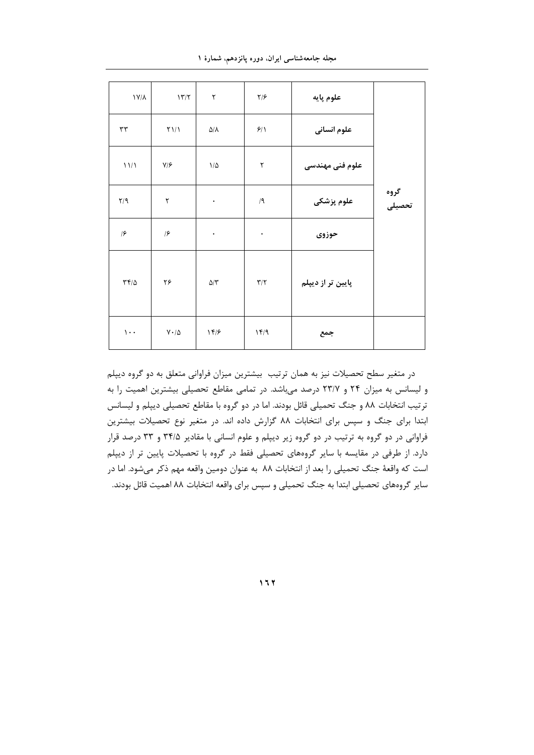|  |  | مجله جامعهشناسی ایران، دوره پانزدهم، شمارهٔ ۱ |  |  |
|--|--|-----------------------------------------------|--|--|
|  |  |                                               |  |  |

| $\lambda V/\lambda$                  | $17/7$                                | ٢                 | $\frac{1}{2}$           | علوم پايه         |                |
|--------------------------------------|---------------------------------------|-------------------|-------------------------|-------------------|----------------|
| $\tau\tau$                           | $\Upsilon\mathcal{V}\mathcal{V}$      | $\Delta/\Lambda$  | 9/1                     | علوم انسانی       |                |
| 11/1                                 | $V/\mathcal{F}$                       | $1/\Delta$        | $\mathbf{\tau}$         | علوم فنى مهندسى   |                |
| Y/9                                  | ٢                                     | $\bullet$         | $/ \, \mathsf{I}$       | علوم پزشکی        | گروه<br>تحصیلی |
| $\sqrt{2}$                           | $\sqrt{2}$                            | $\bullet$         | $\bullet$               | حوزوى             |                |
| $\mathbf{r} \mathbf{r} / \mathbf{r}$ | ۲۶                                    | $\Delta/\Upsilon$ | $\mathbf{Y}/\mathbf{Y}$ | پایین تر از دیپلم |                |
| $\mathcal{L}$ .                      | $\mathsf{V}\boldsymbol{\cdot}/\Delta$ | 159               | 15/9                    | جمع               |                |

در متغیر سطح تحصیلات نیز به همان ترتیب بیشترین میزان فراوانی متعلق به دو گروه دیپلم و لیسانس به میزان ۲۴ و ۲۳/۷ درصد میباشد. در تمامی مقاطع تحصیلی بیشترین اهمیت را به ترتیب انتخابات ۸۸ و جنگ تحمیلی قائل بودند. اما در دو گروه با مقاطع تحصیلی دیپلم و لیسانس ابتدا برای جنگ و سپس برای انتخابات ۸۸ گزارش داده اند. در متغیر نوع تحصیلات بیشترین فراوانی در دو گروه به ترتیب در دو گروه زیر دیپلم و علوم انسانی با مقادیر ۳۴/۵ و ۳۳ درصد قرار دارد. از طرفی در مقایسه با سایر گروههای تحصیلی فقط در گروه با تحصیلات پایین تر از دیپلم است که واقعهٔ جنگ تحمیلی را بعد از انتخابات ۸۸ به عنوان دومین واقعه مهم ذکر میشود. اما در سایر گروههای تحصیلی ابتدا به جنگ تحمیلی و سپس برای واقعه انتخابات ۸۸ اهمیت قائل بودند.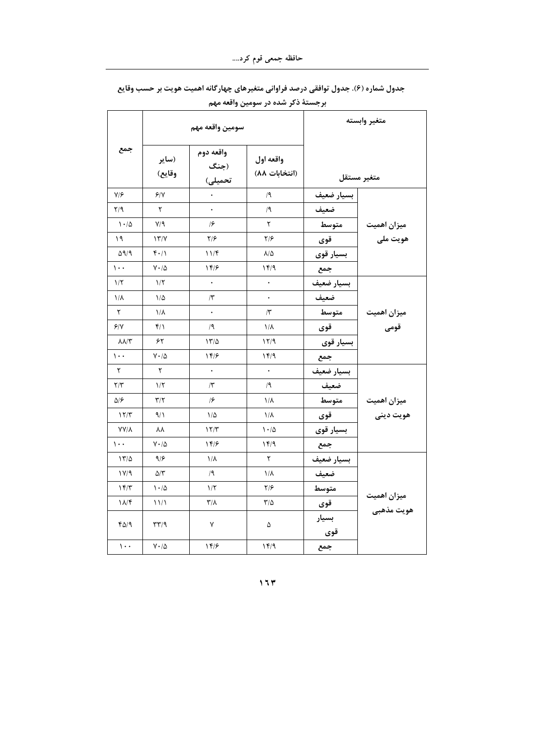|                         | سومين واقعه مهم                       |                              |                            |              | متغير وابسته            |
|-------------------------|---------------------------------------|------------------------------|----------------------------|--------------|-------------------------|
| جمع                     | (ساير<br>وقايع)                       | واقعه دوم<br>(جنگ<br>تحمیلی) | واقعه اول<br>(انتخابات ۸۸) |              | متغير مستقل             |
| $V/\mathcal{F}$         | 9/1                                   |                              | /9                         | بسيار ضعيف   |                         |
| $\mathbf{Y}/\mathbf{Y}$ | ٢                                     |                              | /9                         | ضعيف         |                         |
| 1.40                    | $Y/\gamma$                            | $\sqrt{2}$                   | ٢                          | متوسط        |                         |
| ۱۹                      | $\frac{1}{\gamma}$                    | ۲۱۶                          | $\frac{1}{2}$              | قوى          | میزان اهمیت<br>هویت ملی |
| $\Delta$ 9/9            | $f \cdot / \Lambda$                   | 11/f                         | $\lambda/\Delta$           | بسيار قوى    |                         |
| $\sqrt{1 + 1}$          | $V \cdot / \Delta$                    | 14/8                         | ۱۴/۹                       | جمع          |                         |
| $1/\tau$                | $1/\tau$                              | $\bullet$                    | $\bullet$                  | بسيار ضعيف   |                         |
| $1/\lambda$             | ۱/۵                                   | $\Lambda$                    |                            | ضعيف         |                         |
| ٢                       | ۱/۸                                   |                              | $/\tilde{\mathbf{r}}$      | متوسط        |                         |
| 9/1                     | ۴۱۱                                   | /9                           | $1/\lambda$                | قوى          | میزان اهمیت<br>قومی     |
| $\lambda\lambda/\tau$   | ۶۲                                    | 17/2                         | 15/1                       | بسيار قوى    |                         |
| $\mathcal{L}$ .         | $V \cdot / \Delta$                    | 14/8                         | 15/9                       | جمع          |                         |
| ٢                       | ٢                                     |                              | $\bullet$                  | بسيار ضعيف   |                         |
| $\mathbf{Y}/\mathbf{Y}$ | $1/\tau$                              | $\Lambda$                    | /9                         | ضعيف         |                         |
| ۵۱۶                     | $\mathbf{r}/\mathbf{r}$               | $\sqrt{2}$                   | $1/\lambda$                | متوسط        | میزان اهمیت             |
| 17/T                    | ۹/۱                                   | ۱۵                           | $1/\lambda$                | قوى          | هويت ديني               |
| <b>YY/A</b>             | ۸۸                                    | 17/T                         | $1 - 10$                   | بسيار قوى    |                         |
| $\cdots$                | $V \cdot / \Delta$                    | 14/8                         | ۱۴/۹                       | جمع          |                         |
| 17/2                    | ۹۱۶                                   | ١/٨                          | ٢                          | بسيار ضعيف   |                         |
| 11/9                    | $\Delta/\Upsilon$                     | /9                           | $1/\lambda$                | ضعيف         |                         |
| 15/T                    | $\cdot$ 10                            | $1/\tau$                     | $\frac{1}{2}$              | متوسط        |                         |
| $\lambda/\mathcal{F}$   | 11/1                                  | $\mathsf{r}/\mathsf{v}$      | $\frac{1}{2}$              | قوى          | میزان اهمیت             |
| ۴۵/۹                    | $\mathcal{F}(\mathcal{A})$            | ٧                            | ۵                          | بسيار<br>قوی | هويت مذهبي              |
| $\mathcal{L}$ .         | $\mathsf{V}\boldsymbol{\cdot}/\Delta$ | 14/8                         | 15/9                       | جمع          |                         |

جدول شماره (۶). جدول توافقی درصد فراوانی متغیرهای چهارگانه اهمیت هویت بر حسب وقایع برجستهٔ ذکر شده در سومین واقعه مهم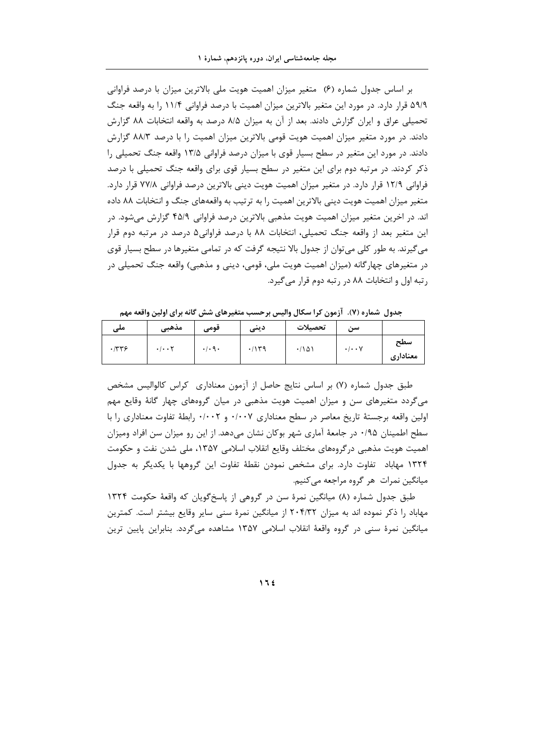بر اساس جدول شماره (۶) متغیر میزان اهمیت هویت ملی بالاترین میزان با درصد فراوانی ۵۹/۹ قرار دارد. در مورد این متغیر بالاترین میزان اهمیت با درصد فراوانی ۱۱/۴ را به واقعه جنگ تحمیلی عراق و ایران گزارش دادند. بعد از آن به میزان ۸/۵ درصد به واقعه انتخابات ۸۸ گزارش دادند. در مورد متغیر میزان اهمیت هویت قومی بالاترین میزان اهمیت را با درصد ۸۸/۳ گزارش دادند. در مورد این متغیر در سطح بسیار قوی با میزان درصد فراوانی ۱۳/۵ واقعه جنگ تحمیلی را ذکر کردند. در مرتبه دوم برای این متغیر در سطح بسیار قوی برای واقعه جنگ تحمیلی با درصد فراوانی ۱۲/۹ قرار دارد. در متغیر میزان اهمیت هویت دینی بالاترین درصد فراوانی ۷۷/۸ قرار دارد. متغیر میزان اهمیت هویت دینی بالاترین اهمیت را به ترتیب به واقعههای جنگ و انتخابات ۸۸ داده اند. در اخرین متغیر میزان اهمیت هویت مذهبی بالاترین درصد فراوانی ۴۵/۹ گزارش میشود. در این متغیر بعد از واقعه جنگ تحمیلی، انتخابات ۸۸ با درصد فراوانی۵ درصد در مرتبه دوم قرار می گیرند. به طور کلی می توان از جدول بالا نتیجه گرفت که در تمامی متغیرها در سطح بسیار قوی در متغیرهای چهارگانه (میزان اهمیت هویت ملی، قومی، دینی و مذهبی) واقعه جنگ تحمیلی در رتبه اول و انتخابات ۸۸ در رتبه دوم قرار می گیرد.

| $\cdots$ | -------                           |                             | ______ | ----    | -                                | .               |
|----------|-----------------------------------|-----------------------------|--------|---------|----------------------------------|-----------------|
| ملی      | مذهبى                             | فومی                        | دينى   | تحصيلات | سی ِ                             |                 |
| .779     | $\cdot$ / $\cdot$ $\cdot$ $\cdot$ | $\cdot$ / $\cdot$ 9 $\cdot$ | .114   | .781    | $\cdot$ / $\cdot$ $\cdot$ $\vee$ | سطح<br>معنادارى |

جدول شماره (٧). آزمون کرا سکال والیس برحسب متغیرهای شش گانه برای اولین واقعه مهم

طبق جدول شماره (۷) بر اساس نتایج حاصل از آزمون معناداری کراس کالوالیس مشخص میگردد متغیرهای سن و میزان اهمیت هویت مذهبی در میان گروههای چهار گانهٔ وقایع مهم اولین واقعه برجستهٔ تاریخ معاصر در سطح معناداری ۰/۰۰۷ و ۰/۰۰۲ , ابطهٔ تفاوت معناداری را با سطح اطمینان ۰/۹۵ در جامعهٔ آماری شهر بوکان نشان میدهد. از این رو میزان سن افراد ومیزان اهمیت هویت مذهبی در گروههای مختلف وقایع انقلاب اسلامی ۱۳۵۷، ملی شدن نفت و حکومت ۱۳۲۴ مهاباد تفاوت دارد. برای مشخص نمودن نقطهٔ تفاوت این گروهها با یکدیگر به جدول میانگین نمرات هر گروه مراجعه میکنیم.

طبق جدول شماره (۸) میانگین نمرهٔ سن در گروهی از پاسخگویان که واقعهٔ حکومت ۱۳۲۴ مهاباد را ذکر نموده اند به میزان ۲۰۴/۳۲ از میانگین نمرهٔ سنی سایر وقایع بیشتر است. کمترین میانگین نمرهٔ سنی در گروه واقعهٔ انقلاب اسلامی ۱۳۵۷ مشاهده میگردد. بنابراین پایین ترین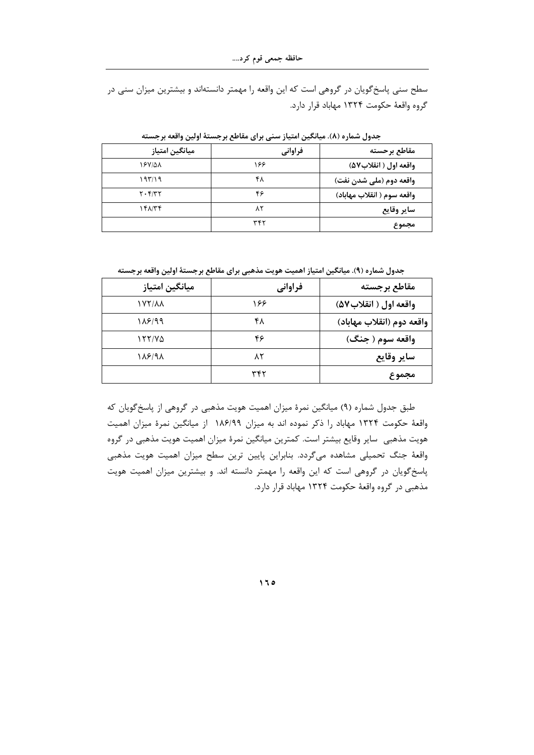سطح سنی پاسخگویان در گروهی است که این واقعه را مهمتر دانستهاند و بیشترین میزان سنی در گروه واقعهٔ حکومت ۱۳۲۴ مهاباد قرار دارد.

| ميانگين امتياز | فراواني | مقاطع برحسته               |
|----------------|---------|----------------------------|
| ۱۶۷/۵۸         | ۱۶۶     | واقعه اول ( انقلاب٥٧)      |
| ۹۳/۱۹          | ۴۸      | واقعه دوم (ملي شدن نفت)    |
| $Y \cdot Y/YY$ | ۴۶      | واقعه سوم ( انقلاب مهاباد) |
| ۱۴۸/۳۴         | ۸۲      | ساير وقايع                 |
|                | ۳۴۲     | مجموع                      |

جدول شماره (٨). ميانگين امتياز سني براي مقاطع برجستهٔ اولين واقعه برجسته

جدول شماره (٩). میانگین امتیاز اهمیت هویت مذهبی برای مقاطع برجستهٔ اولین واقعه برجسته

| ميانگين امتياز       | فراواني | مقاطع برجسته              |
|----------------------|---------|---------------------------|
| <b><i>IVY/AA</i></b> | ۱۶۶     | واقعه اول ( انقلاب ۵۷)    |
| ۱۸۶/۹۹               | ۴۸      | واقعه دوم (انقلاب مهاباد) |
| 155175               | ۴۶      | واقعه سوم ( جنگ)          |
| 188198               | ۸۲      | ساير وقايع                |
|                      | ۳۴۲     | مجموع                     |

طبق جدول شماره (۹) میانگین نمرهٔ میزان اهمیت هویت مذهبی در گروهی از پاسخ گویان که واقعهٔ حکومت ۱۳۲۴ مهاباد را ذکر نموده اند به میزان ۱۸۶/۹۹ از میانگین نمرهٔ میزان اهمیت هویت مذهبی ِ سایر وقایع بیشتر است. کمترین میانگین نمرهٔ میزان اهمیت هویت مذهبی در گروه واقعهٔ جنگ تحمیلی مشاهده میگردد. بنابراین پایین ترین سطح میزان اهمیت هویت مذهبی پاسخ گویان در گروهی است که این واقعه را مهمتر دانسته اند. و بیشترین میزان اهمیت هویت مذهبی در گروه واقعهٔ حکومت ۱۳۲۴ مهاباد قرار دارد.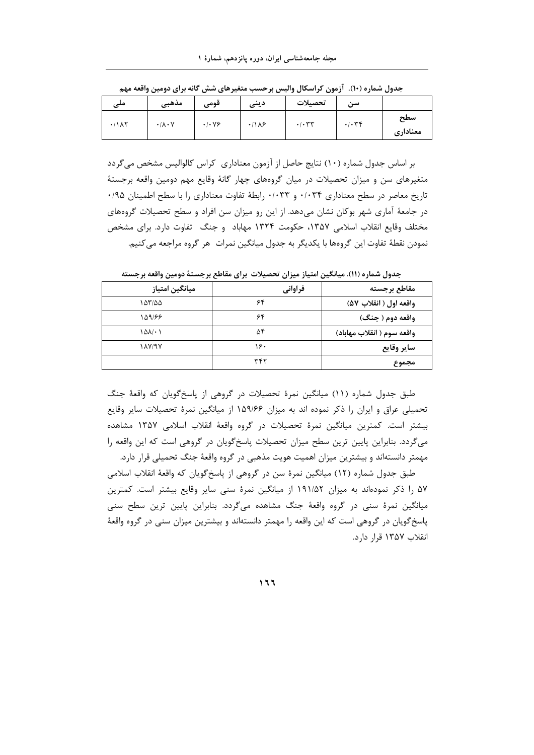| ملی                   | مذهبى                          | قومى                             | دينى                   | تحصيلات | سن    |                 |
|-----------------------|--------------------------------|----------------------------------|------------------------|---------|-------|-----------------|
| $\cdot$ / $\lambda$ ۲ | $\cdot/\lambda\cdot\mathsf{V}$ | $\cdot$ / $\cdot$ $\vee$ $\circ$ | $\cdot$ /1 $\lambda$ ۶ | .1.54   | .1.79 | سطح<br>معنادارى |

جدول شماره (١٠). آزمون کراسکال والیس برحسب متغیرهای شش گانه برای دومین واقعه مهم

بر اساس جدول شماره (١٠) نتايج حاصل از آزمون معناداري كراس كالواليس مشخص مي گردد متغیرهای سن و میزان تحصیلات در میان گروههای چهار گانهٔ وقایع مهم دومین واقعه برجستهٔ تاريخ معاصر در سطح معناداري ٠/٠٣۴ و ٠/٠٣٣ رابطة تفاوت معناداري را با سطح اطمينان ٠/٩٥ در جامعهٔ آماری شهر بوکان نشان میدهد. از این رو میزان سن افراد و سطح تحصیلات گروههای مختلف وقايع انقلاب اسلامي ١٣۵٧، حكومت ١٣٢۴ مهاباد و جنگ تفاوت دارد. براي مشخص نمودن نقطهٔ تفاوت این گروهها با یکدیگر به جدول میانگین نمرات هر گروه مراجعه می کنیم.

جدول شماره (١١). ميانگين امتياز ميزان تحصيلات براي مقاطع برجستهٔ دومين واقعه برجسته

| ميانگين امتياز       | فراواني | مقاطع برجسته               |
|----------------------|---------|----------------------------|
| ۱۵۳/۵۵               | ۶۴      | واقعه اول ( انقلاب ۵۷)     |
| 149/66               | ۶۴      | واقعه دوم ( جنگ)           |
| $\Delta\Delta/\cdot$ | ۵۴      | واقعه سوم ( انقلاب مهاباد) |
| <b><i>IAVIEY</i></b> | ۱۶۰     | ساير وقايع                 |
|                      | ٣۴٢     | مجموع                      |

طبق جدول شماره (١١) میانگین نمرهٔ تحصیلات در گروهی از پاسخ گویان که واقعهٔ جنگ تحمیلی عراق و ایران را ذکر نموده اند به میزان ۱۵۹/۶۶ از میانگین نمرهٔ تحصیلات سایر وقایع بیشتر است. کمترین میانگین نمرهٔ تحصیلات در گروه واقعهٔ انقلاب اسلامی ۱۳۵۷ مشاهده می گردد. بنابراین پایین ترین سطح میزان تحصیلات پاسخ گویان در گروهی است که این واقعه را مهمتر دانستهاند و بیشترین میزان اهمیت هویت مذهبی در گروه واقعهٔ جنگ تحمیلی قرار دارد.

طبق جدول شماره (١٢) میانگین نمرهٔ سن در گروهی از پاسخگویان که واقعهٔ انقلاب اسلامی ۵۷ را ذکر نمودهاند به میزان ۱۹۱/۵۲ از میانگین نمرهٔ سنی سایر وقایع بیشتر است. کمترین میانگین نمرهٔ سنی در گروه واقعهٔ جنگ مشاهده میگردد. بنابراین پایین ترین سطح سنی پاسخ گویان در گروهی است که این واقعه را مهمتر دانستهاند و بیشترین میزان سنی در گروه واقعهٔ انقلاب ١٣۵٧ قرار دارد.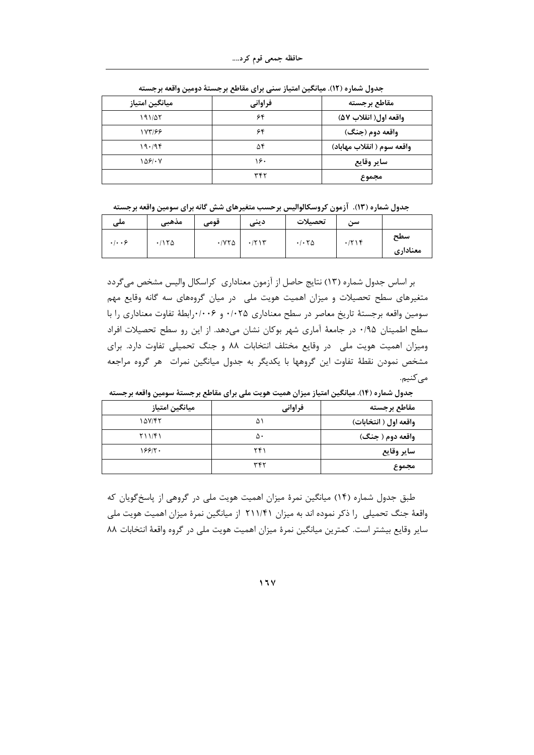| ميانگين امتياز | فراواني | مقاطع برجسته               |
|----------------|---------|----------------------------|
| ۱۹۱/۵۲         | ۶۴      | واقعه اول( انقلاب ۵۷)      |
| 188199         | ۶۴      | واقعه دوم (جنگ)            |
| 19.79          | ۵۴      | واقعه سوم ( انقلاب مهاباد) |
| 1481.8         | ۱۶۰     | ساير وقايع                 |
|                | ٣۴٢     | مجموع                      |

جدول شماره (١٢). میانگین امتیاز سنی برای مقاطع برجستهٔ دومین واقعه برجسته

جدول شماره (١٣). آزمون كروسكالواليس برحسب متغيرهاي شش گانه براي سومين واقعه برجسته

| ملی                             | مذهبى | $\bullet\bullet$<br>فومی | دينى                              | تحصيلات | سى:   |                 |
|---------------------------------|-------|--------------------------|-----------------------------------|---------|-------|-----------------|
| $\cdot$ $\cdot$ $\cdot$ $\cdot$ | .7150 | $\cdot$ / $\vee$ $\circ$ | $\cdot$ / $\uparrow$ ) $\uparrow$ | .76     | .7719 | سطح<br>معنادارى |

بر اساس جدول شماره (١٣) نتايج حاصل از آزمون معناداري كراسكال واليس مشخص مي گردد متغیرهای سطح تحصیلات و میزان اهمیت هویت ملی در میان گروههای سه گانه وقایع مهم سومین واقعه برجستهٔ تاریخ معاصر در سطح معناداری ۰/۰۲۵ و ۰/۰۰۶برابطهٔ تفاوت معناداری را با سطح اطمینان ۰/۹۵ در جامعهٔ آماری شهر بوکان نشان میدهد. از این رو سطح تحصیلات افراد ومیزان اهمیت هویت ملی در وقایع مختلف انتخابات ۸۸ و جنگ تحمیلی تفاوت دارد. برای مشخص نمودن نقطهٔ تفاوت این گروهها با یکدیگر به جدول میانگین نمرات هر گروه مراجعه مے کنیم.

| ميانگين امتياز | فراواني | مقاطع برجسته          |
|----------------|---------|-----------------------|
| ۱۵۷/۴۲         | ۵۱      | واقعه اول ( انتخابات) |
| Y11/F1         | ۵۰      | واقعه دوم ( جنگ)      |
| 199/1          | ۲۴۱     | ساير وقايع            |
|                | ۳۴۲     | مجموع                 |

جدول شماره (١۴). میانگین امتیاز میزان همیت هویت ملی برای مقاطع برجستهٔ سومین واقعه برجسته

طبق جدول شماره (۱۴) میانگین نمرهٔ میزان اهمیت هویت ملی در گروهی از پاسخ گویان که واقعهٔ جنگ تحمیلی ًرا ذکر نموده اند به میزان ۲۱۱/۴۱ از میانگین نمرهٔ میزان اهمیت هویت ملی سایر وقایع بیشتر است. کمترین میانگین نمرهٔ میزان اهمیت هویت ملی در گروه واقعهٔ انتخابات ۸۸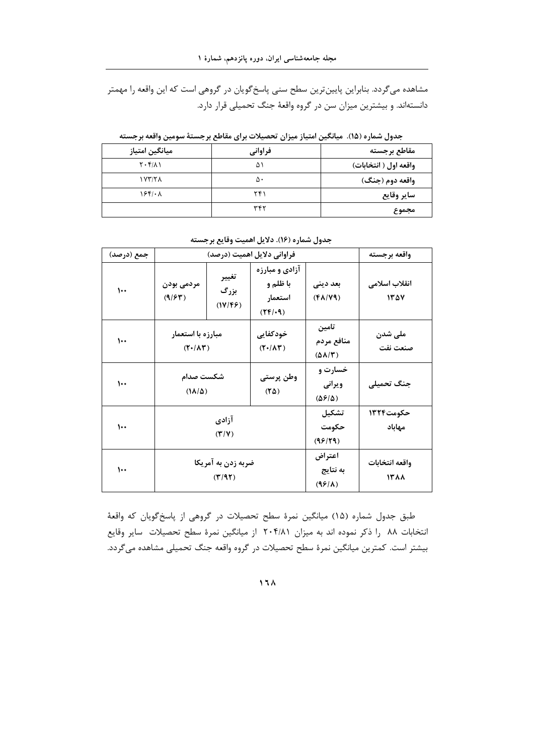مشاهده میگردد. بنابراین پایینترین سطح سنی پاسخگویان در گروهی است که این واقعه را مهمتر دانستهاند. و بیشترین میزان سن در گروه واقعهٔ جنگ تحمیلی قرار دارد.

| مقاطع برجسته          | فراواني | ميانگين امتياز        |
|-----------------------|---------|-----------------------|
| واقعه اول ( انتخابات) | ۵۱      | $Y \cdot Y/\lambda Y$ |
| واقعه دوم (جنگ)       | ۵۰      | NY/Y                  |
| ساير وقايع            | ۲۴۱     | 15f/2A                |
| مجموع                 | ٣۴٢     |                       |

جدول شماره (۱۵). میانگین امتیاز میزان تحصیلات برای مقاطع برجستهٔ سومین واقعه برجسته

|  |  | جدول شماره (۱۶). دلایل اهمیت وقایع برجسته |
|--|--|-------------------------------------------|
|  |  |                                           |

| جمع (درصد) |                                                  | واقعه برجسته |                                                                                     |                                                    |                        |
|------------|--------------------------------------------------|--------------|-------------------------------------------------------------------------------------|----------------------------------------------------|------------------------|
| ۱۰۰        | تغيير<br>مردمی بودن<br>بزرگ<br>(9/54)<br>(1V/FF) |              | آزادی و مبارزه<br>با ظلم و<br>استعمار<br>$(\mathbf{Y} \mathbf{F}/\cdot \mathbf{q})$ | بعد ديني<br>$(\mathsf{FA}/\mathsf{VA})$            | انقلاب اسلامى<br>1500  |
| ۱۰۰        | مبارزه با استعمار<br>$(T'/\Lambda T)$            |              | خودكفايي<br>$(T'/\Lambda T)$                                                        | تامين<br>منافع مردم<br>$(\Delta \Lambda/\Upsilon)$ | ملی شدن<br>صنعت نفت    |
| $\cdots$   | شكست صدام<br>$(1\Lambda/\Delta)$                 |              | وطن پرستی<br>$(\mathsf{Y}\Delta)$                                                   | خسارت و<br>ويراني<br>$(\Delta$ ۶/۵)                | جنگ تحمیلی             |
| $\cdots$   | آزادي<br>(Y Y)                                   |              |                                                                                     | تشكيل<br>حكومت<br>(99/79)                          | حکومت۱۳۲۴<br>مهاباد    |
| ۱۰۰        | ضربه زدن به آمریکا<br>(T/97)                     |              |                                                                                     | اعتراض<br>به نتایج<br>$(99/\lambda)$               | واقعه انتخابات<br>1388 |

طبق جدول شماره (۱۵) میانگین نمرهٔ سطح تحصیلات در گروهی از پاسخگویان که واقعهٔ انتخابات ۸۸ را ذکر نموده اند به میزان ۲۰۴/۸۱ از میانگین نمرهٔ سطح تحصیلات سایر وقایع بیشتر است. کمترین میانگین نمرهٔ سطح تحصیلات در گروه واقعه جنگ تحمیلی مشاهده میگردد.

 $11<sub>A</sub>$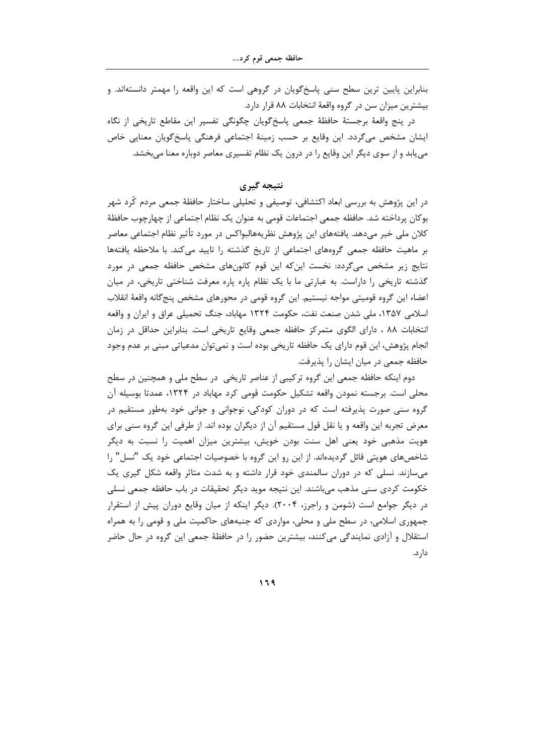بنابراین پایین ترین سطح سنی پاسخگویان در گروهی است که این واقعه را مهمتر دانستهاند. و بیشترین میزان سن در گروه واقعهٔ انتخابات ۸۸ قرار دارد.

در پنج واقعهٔ برجستهٔ حافظهٔ جمعی پاسخگویان چگونگی تفسیر این مقاطع تاریخی از نگاه ایشان مشخص می¢دد. این وقایع بر حسب زمینهٔ اجتماعی فرهنگی پاسخ¢ویان معنایی خاص می یابد و از سوی دیگر این وقایع را در درون یک نظام تفسیری معاصر دوباره معنا می بخشد.

نتىجە گىرى

در این پژوهش به بررسی ابعاد اکتشافی، توصیفی و تحلیلی ساختار حافظهٔ جمعی مردم کُرد شهر بوكان پرداخته شد. حافظه جمعي اجتماعات قومي به عنوان يک نظام اجتماعي از چهارچوب حافظهٔ كلان ملي خبر مي‹هد. يافتههاي اين پژوهش نظريههالبواكس در مورد تأثير نظام اجتماعي معاصر بر ماهیت حافظه جمعی گروههای اجتماعی از تاریخ گذشته را تایید می کند. با ملاحظه یافتهها نتایج زیر مشخص میگردد: نخست اینکه این قوم کانونهای مشخص حافظه جمعی در مورد گذشته تاریخی را داراست. به عبارتی ما با یک نظام پاره پاره معرفت شناختی تاریخی، در میان اعضاء این گروه قومیتی مواجه نیستیم. این گروه قومی در محورهای مشخص پنجگانه واقعهٔ انقلاب اسلامی ۱۳۵۷، ملی شدن صنعت نفت، حکومت ۱۳۲۴ مهاباد، جنگ تحمیلی عراق و ایران و واقعه انتخابات ۸۸ ، دارای الگوی متمرکز حافظه جمعی وقایع تاریخی است. بنابراین حداقل در زمان انجام پژوهش، این قوم دارای یک حافظه تاریخی بوده است و نمیتوان مدعیاتی مبنی بر عدم وجود حافظه جمعی در میان ایشان را پذیرفت.

دوم اینکه حافظه جمعی این گروه ترکیبی از عناصر تاریخی ٍ در سطح ملی و همچنین در سطح محلی است. برجسته نمودن واقعه تشکیل حکومت قومی کرد مهاباد در ۱۳۲۴، عمدتا بوسیله آن گروه سنی صورت پذیرفته است که در دوران کودکی، نوجوانی و جوانی خود بهطور مستقیم در معرض تجربه این واقعه و یا نقل قول مستقیم آن از دیگران بوده اند. از طرفی این گروه سنی برای هویت مذهبی خود یعنی اهل سنت بودن خویش، بیشترین میزان اهمیت را نسبت به دیگر شاخصهای هویتی قائل گردیدهاند. از این رو این گروه با خصوصیات اجتماعی خود یک "نسل" را می سازند. نسلی که در دوران سالمندی خود قرار داشته و به شدت متاثر واقعه شکل گیری یک خکومت کردی سنی مذهب میباشند. این نتیجه موید دیگر تحقیقات در باب حافظه جمعی نسلی در دیگر جوامع است (شومن و راجرز، ۲۰۰۴). دیگر اینکه از میان وقایع دوران پیش از استقرار جمهوری اسلامی، در سطح ملی و محلی، مواردی که جنبههای حاکمیت ملی و قومی را به همراه استقلال و آزادی نمایندگی میکنند، بیشترین حضور را در حافظهٔ جمعی این گروه در حال حاضر دار د.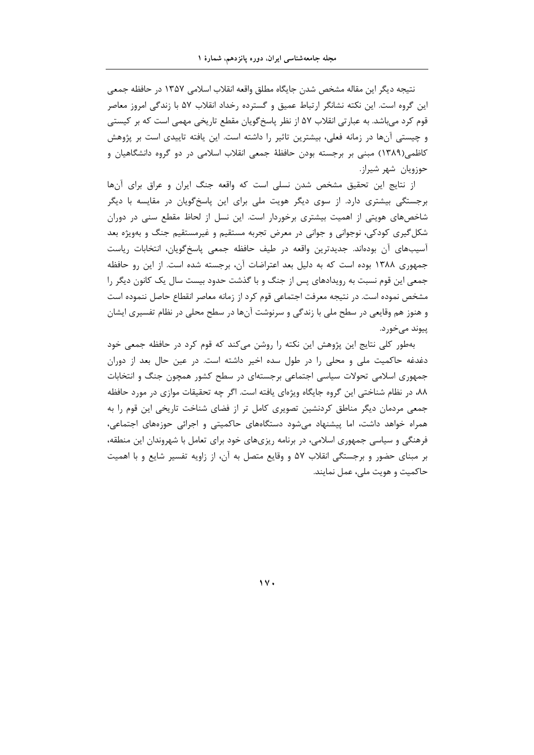نتيجه ديگر اين مقاله مشخص شدن جايگاه مطلق واقعه انقلاب اسلامي ١٣۵٧ در حافظه جمعي این گروه است. این نکته نشانگر ارتباط عمیق و گسترده رخداد انقلاب ۵۷ با زندگی امروز معاصر قوم کرد میباشد. به عبارتی انقلاب ۵۷ از نظر پاسخ گویان مقطع تاریخی مهمی است که بر کیستی و چیستی آنها در زمانه فعلی، بیشترین تاثیر را داشته است. این یافته تاییدی است بر پژوهش کاظمی(۱۳۸۹) مبنی بر برجسته بودن حافظهٔ جمعی انقلاب اسلامی در دو گروه دانشگاهیان و حوزويان شهر شيراز.

از نتايج اين تحقيق مشخص شدن نسلي است كه واقعه جنگ ايران و عراق براي آنها برجستگی بیشتری دارد. از سوی دیگر هویت ملی برای این پاسخگویان در مقایسه با دیگر شاخصهای هویتی از اهمیت بیشتری برخوردار است. این نسل از لحاظ مقطع سنی در دوران شکل گیری کودکی، نوجوانی و جوانی در معرض تجربه مستقیم و غیرمستقیم جنگ و بهویژه بعد آسیبهای آن بودهاند. جدیدترین واقعه در طیف حافظه جمعی پاسخگویان، انتخابات ریاست جمهوری ۱۳۸۸ بوده است که به دلیل بعد اعتراضات آن، برجسته شده است. از این رو حافظه جمعی این قوم نسبت به رویدادهای پس از جنگ و با گذشت حدود بیست سال یک کانون دیگر را مشخص نموده است. در نتیجه معرفت اجتماعی قوم کرد از زمانه معاصر انقطاع حاصل ننموده است و هنوز هم وقایعی در سطح ملی با زندگی و سرنوشت آنها در سطح محلی در نظام تفسیری ایشان ييوند مے خور د.

بهطور کلی نتایج این پژوهش این نکته را روشن میکند که قوم کرد در حافظه جمعی خود دغدغه حاکمیت ملی و محلی را در طول سده اخیر داشته است. در عین حال بعد از دوران جمهوری اسلامی تحولات سیاسی اجتماعی برجستهای در سطح کشور همچون جنگ و انتخابات ۸۸، در نظام شناختی این گروه جایگاه ویژهای یافته است. اگر چه تحقیقات موازی در مورد حافظه جمعی مردمان دیگر مناطق کردنشین تصویری کامل تر از فضای شناخت تاریخی این قوم را به همراه خواهد داشت، اما پیشنهاد میشود دستگاههای حاکمیتی و اجرائی حوزههای اجتماعی، فرهنگی و سیاسی جمهوری اسلامی، در برنامه ریزیهای خود برای تعامل با شهروندان این منطقه، بر مبنای حضور و برجستگی انقلاب ۵۷ و وقایع متصل به آن، از زاویه تفسیر شایع و با اهمیت حاکمیت و هویت ملی، عمل نمایند.

 $\gamma$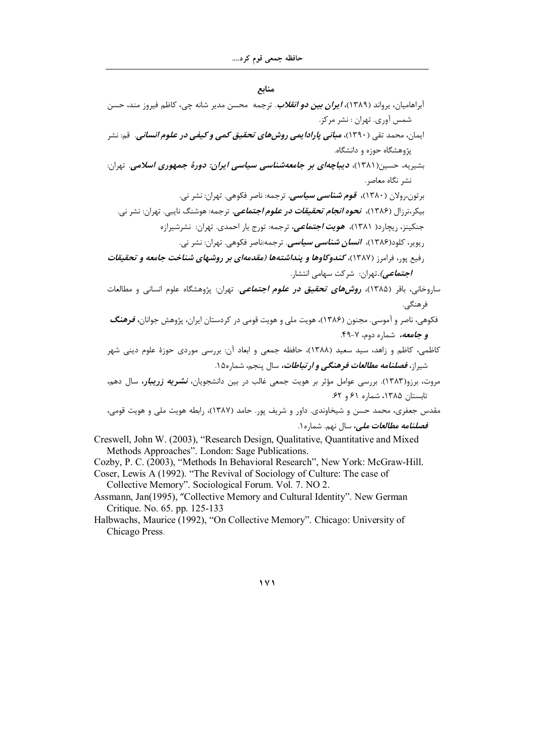منابع

آبراهامیان، یرواند (۱۳۸۹)، *ایران بین دو انقلاب.* ترجمه محسن مدیر شانه چی، کاظم فیروز مند، حسن شمس آوري. تهران : نشر مركز. ایمان، محمد تقی (۱۳۹۰)، *مبانی پارادایمی روشهای تحقیق کمی و کیفی در علوم انسانی. ق*م: نشر یژوهشگاه حوزه و دانشگاه. بشیریه، حسین(۱۳۸۱)، **دیب***اچهای بر جامعهشناسی سیاسی ایران: دورهٔ جمهوری اسلامی. تهران:* نشر نگاه معاصر. برتون،رولان ( ۱۳۸۰)، ق*وم شناسی سیاسی.* ترجمه: ناصر فکوهی. تهران: نشر نی. بیکر،ترزال (۱۳۸۶)، **نحوه** *انجام تحقیقات در علوم اجتماعی.* **ت**رجمه: هوشنگ نایبی. تهران: نشر نی. .<br>جنکینز، ریچارد( ۱۳۸۱)، *هویت اجتماعی،* ترجمه: تورج یار احمدی. تهران: نشرشیرازه رپویر، کلود(۱۳۸۶)، *انسان شناسی سیاسی.* ترجمه:ناصر فکوهی. تهران: نشر نی. رفیع پور، فرامرز (۱۳۸۷)، کندوکاوها و پنداشتهها (مقدمهای بر روشهای شناخت جامعه و تحقیقات **/جتم***اعی).***ت**هران: شرکت سهامی انتشار. ساروخانی، باقر (۱۳۸۵)، **ر***وشهای تحقیق در علوم اجتماعی.* **ت**هران: پژوهشگاه علوم انسانی و مطالعات فرهنگے . فکوهی، ناصر و آموسی. مجنون (۱۳۸۶)، هویت ملی و هویت قومی در کردستان ایران، پژوهش جوانان، **فر***هنگ* و جامعه، شماره دوم، ۷-۴۹. کاظمی، کاظم و زاهد، سید سعید (۱۳۸۸)، حافظه جمعی و ابعاد آن: بررسی موردی حوزهٔ علوم دینی شهر شیراز، *فصلنامه مطالعات فرهنگی و ارتباطات،* سال پنجم، شماره۱۵. مروت، برزو(۱۳۸۳). بررسی عوامل مؤثر بر هویت جمعی غالب در بین دانشجویان، *نشریه زریبار،* سال دهم، تابستان ۱۳۸۵، شماره ۶۱ و ۶۲. مقدس جعفری، محمد حسن و شیخاوندی. داور و شریف پور. حامد (۱۳۸۷)، رابطه هویت ملی و هویت قومی، فص*لنامه مطالعات ملي،* سال نهم. شماره ۱. Creswell, John W. (2003), "Research Design, Qualitative, Quantitative and Mixed Methods Approaches". London: Sage Publications.

Cozby, P. C. (2003), "Methods In Behavioral Research", New York: McGraw-Hill. Coser, Lewis A (1992). "The Revival of Sociology of Culture: The case of Collective Memory". Sociological Forum. Vol. 7. NO 2.

- Assmann, Jan(1995), "Collective Memory and Cultural Identity". New German Critique. No. 65. pp. 125-133
- Halbwachs, Maurice (1992), "On Collective Memory". Chicago: University of Chicago Press.